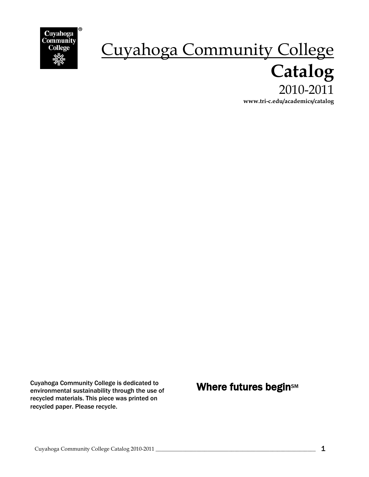

# Cuyahoga Community College  **Catalog** 2010-2011 **www.tri-c.edu/academics/catalog**

Cuyahoga Community College is dedicated to<br>environmental sustainability through the use of **Where futures begin**sm environmental sustainability through the use of recycled materials. This piece was printed on recycled paper. Please recycle.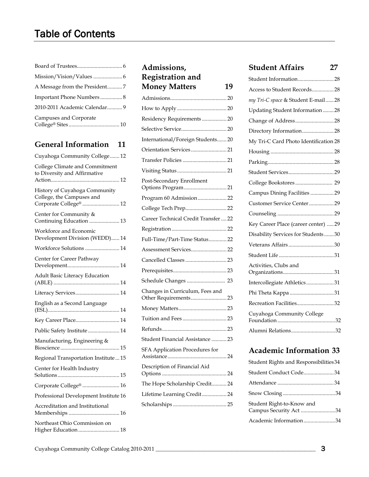| Important Phone Numbers 8     |
|-------------------------------|
| 2010-2011 Academic Calendar 9 |
| Campuses and Corporate        |

| Cuyahoga Community College 12                                                        |
|--------------------------------------------------------------------------------------|
| College Climate and Commitment<br>to Diversity and Affirmative                       |
| History of Cuyahoga Community<br>College, the Campuses and<br>Corporate College®  12 |
| Center for Community &<br>Continuing Education  13                                   |
| Workforce and Economic<br>Development Division (WEDD) 14                             |
| Workforce Solutions  14                                                              |
| Center for Career Pathway                                                            |
| Adult Basic Literacy Education                                                       |
| Literacy Services 14                                                                 |
| English as a Second Language                                                         |
| Key Career Place 14                                                                  |
| Public Safety Institute 14                                                           |
| Manufacturing, Engineering &                                                         |
| Regional Transportation Institute  15                                                |
| Center for Health Industry                                                           |
| Corporate College®  16                                                               |
| Professional Development Institute 16                                                |
| Accreditation and Institutional                                                      |
| Northeast Ohio Commission on<br>Higher Education 18                                  |

| Admissions,                          |
|--------------------------------------|
| <b>Registration and</b>              |
| <b>Money Matters</b><br>19           |
|                                      |
|                                      |
| Residency Requirements  20           |
|                                      |
| International/Foreign Students 20    |
| Orientation Services 21              |
|                                      |
|                                      |
| Post-Secondary Enrollment            |
| Program 60 Admission 22              |
| College Tech Prep 22                 |
| Career Technical Credit Transfer  22 |
|                                      |
| Full-Time/Part-Time Status 22        |
|                                      |
| Cancelled Classes  23                |
|                                      |
| Schedule Changes  23                 |
| Changes in Curriculum, Fees and      |
|                                      |
|                                      |
|                                      |
| Student Financial Assistance  23     |
| SFA Application Procedures for       |
| Description of Financial Aid         |
| The Hope Scholarship Credit 24       |
| Lifetime Learning Credit 24          |
|                                      |
|                                      |

# **[Student Affairs](#page-26-0) 27**

| Student Information28                 |
|---------------------------------------|
| Access to Student Records28           |
| my Tri-C space & Student E-mail28     |
| Updating Student Information28        |
| Change of Address28                   |
| Directory Information28               |
| My Tri-C Card Photo Identification 28 |
|                                       |
|                                       |
|                                       |
| College Bookstores 29                 |
| Campus Dining Facilities 29           |
| Customer Service Center29             |
|                                       |
| Key Career Place (career center)  29  |
| Disability Services for Students30    |
|                                       |
|                                       |
| Activities, Clubs and                 |
| Intercollegiate Athletics31           |
|                                       |
| Recreation Facilities32               |
| Cuyahoga Community College            |
| Alumni Relations32                    |

# **Academic Information 33**

| Student Rights and Responsibilities 34              |  |
|-----------------------------------------------------|--|
| Student Conduct Code34                              |  |
|                                                     |  |
|                                                     |  |
| Student Right-to-Know and<br>Campus Security Act 34 |  |
| Academic Information34                              |  |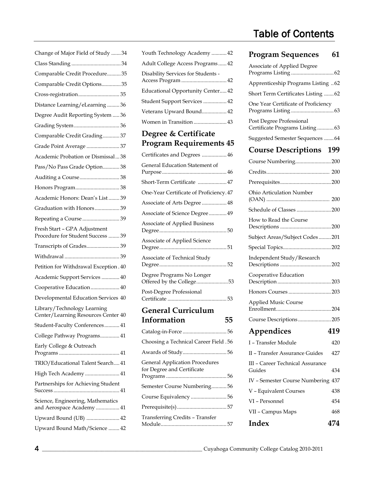| Change of Major Field of Study 34                                  |
|--------------------------------------------------------------------|
|                                                                    |
| Comparable Credit Procedure35                                      |
| Comparable Credit Options35                                        |
|                                                                    |
| Distance Learning/eLearning36                                      |
| Degree Audit Reporting System  36                                  |
| Grading System  36                                                 |
| Comparable Credit Grading 37                                       |
| Grade Point Average  37                                            |
| Academic Probation or Dismissal38                                  |
| Pass/No Pass Grade Option 38                                       |
| Auditing a Course38                                                |
|                                                                    |
| Academic Honors: Dean's List 39                                    |
| Graduation with Honors 39                                          |
| Repeating a Course  39                                             |
| Fresh Start - GPA Adjustment<br>Procedure for Student Success  39  |
|                                                                    |
| Transcripts of Grades 39                                           |
|                                                                    |
| Petition for Withdrawal Exception . 40                             |
| Academic Support Services  40                                      |
| Cooperative Education 40                                           |
| Developmental Education Services 40                                |
| Library/Technology Learning<br>Center/Learning Resources Center 40 |
| Student-Faculty Conferences 41                                     |
| College Pathway Programs 41                                        |
| Early College & Outreach                                           |
| TRIO/Educational Talent Search 41                                  |
| High Tech Academy  41                                              |
| Partnerships for Achieving Student                                 |
| Science, Engineering, Mathematics<br>and Aerospace Academy  41     |
| Upward Bound (UB)  42                                              |
| Upward Bound Math/Science  42                                      |

| Student Support Services  42                                        |
|---------------------------------------------------------------------|
| Veterans Upward Bound 42                                            |
| Women in Transition  43                                             |
| Degree & Certificate                                                |
| <b>Program Requirements 45</b>                                      |
| Certificates and Degrees  46                                        |
| General Education Statement of                                      |
| Short-Term Certificate  47                                          |
| One-Year Certificate of Proficiency. 47                             |
| Associate of Arts Degree  48                                        |
| Associate of Science Degree  49                                     |
| Associate of Applied Business                                       |
| Associate of Applied Science                                        |
| Associate of Technical Study                                        |
| Degree Programs No Longer<br>Offered by the College53               |
| Post-Degree Professional                                            |
|                                                                     |
| <b>General Curriculum</b>                                           |
| Information<br>55                                                   |
| Catalog-in-Force 56                                                 |
| Choosing a Technical Career Field .56                               |
| Awards of Study56                                                   |
| <b>General Application Procedures</b><br>for Degree and Certificate |
| Semester Course Numbering56                                         |
| Course Equivalency 56                                               |
|                                                                     |
| <b>Transferring Credits - Transfer</b>                              |

[Youth Technology Academy](#page-41-2) ........... 42 [Adult College Access Programs](#page-41-3) ...... 42 [Disability Services for Students -](#page-41-4) [Access Program](#page-41-4) ................................. 42 [Educational Opportunity Center.](#page-41-5).... 42

# Table of Contents

### **Program Sequences 61**

| Associate of Applied Degree                                  |     |
|--------------------------------------------------------------|-----|
| Apprenticeship Programs Listing 62                           |     |
| Short Term Certificates Listing  62                          |     |
| One Year Certificate of Proficiency                          |     |
| Post Degree Professional<br>Certificate Programs Listing  63 |     |
| Suggested Semester Sequences  64                             |     |
| <b>Course Descriptions</b>                                   | 199 |
| Course Numbering 200                                         |     |
|                                                              |     |
|                                                              |     |
| Ohio Articulation Number                                     |     |
| Schedule of Classes  200                                     |     |
| How to Read the Course                                       |     |
| Subject Areas/Subject Codes201                               |     |
|                                                              |     |
| Independent Study/Research                                   |     |
| Cooperative Education                                        |     |
|                                                              |     |
| <b>Applied Music Course</b>                                  |     |
| Course Descriptions205                                       |     |
| Appendices 419                                               |     |
| I - Transfer Module                                          | 420 |
| II - Transfer Assurance Guides                               | 427 |
| III - Career Technical Assurance<br>Guides                   | 434 |
| IV - Semester Course Numbering 437                           |     |
| V - Equivalent Courses                                       | 438 |
| VI - Personnel                                               | 454 |
| VII - Campus Maps                                            | 468 |
| Index                                                        | 474 |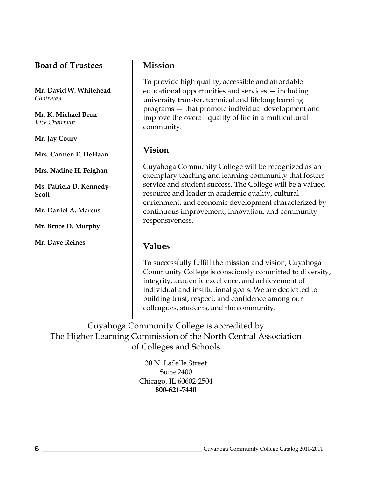### <span id="page-5-0"></span>**Board of Trustees**

**Mr. David W. Whitehead** *Chairman*

**Mr. K. Michael Benz** *Vice Chairman*

**Mr. Jay Coury**

**Mrs. Carmen E. DeHaan**

**Mrs. Nadine H. Feighan**

**Ms. Patricia D. Kennedy-Scott**

**Mr. Daniel A. Marcus**

**Mr. Bruce D. Murphy**

**Mr. Dave Reines**

### <span id="page-5-1"></span>**Mission**

To provide high quality, accessible and affordable educational opportunities and services — including university transfer, technical and lifelong learning programs — that promote individual development and improve the overall quality of life in a multicultural community.

### **Vision**

Cuyahoga Community College will be recognized as an exemplary teaching and learning community that fosters service and student success. The College will be a valued resource and leader in academic quality, cultural enrichment, and economic development characterized by continuous improvement, innovation, and community responsiveness.

### **Values**

To successfully fulfill the mission and vision, Cuyahoga Community College is consciously committed to diversity, integrity, academic excellence, and achievement of individual and institutional goals. We are dedicated to building trust, respect, and confidence among our colleagues, students, and the community.

Cuyahoga Community College is accredited by The Higher Learning Commission of the North Central Association of Colleges and Schools

> 30 N. LaSalle Street Suite 2400 Chicago, IL 60602-2504 **800-621-7440**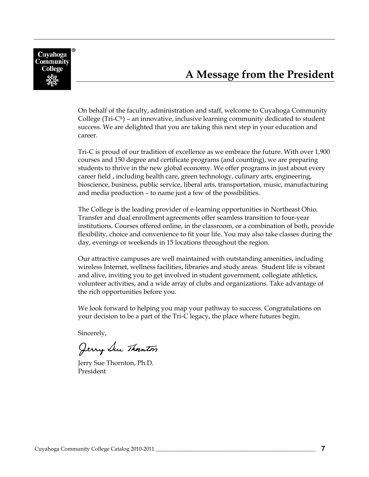<span id="page-6-0"></span>

# **A Message from the President**

On behalf of the faculty, administration and staff, welcome to Cuyahoga Community College ( $Tri-C<sup>®</sup>$ ) – an innovative, inclusive learning community dedicated to student success. We are delighted that you are taking this next step in your education and career.

Tri-C is proud of our tradition of excellence as we embrace the future. With over 1,900 courses and 150 degree and certificate programs (and counting), we are preparing students to thrive in the new global economy. We offer programs in just about every career field , including health care, green technology, culinary arts, engineering, bioscience, business, public service, liberal arts, transportation, music, manufacturing and media production – to name just a few of the possibilities.

The College is the leading provider of e-learning opportunities in Northeast Ohio. Transfer and dual enrollment agreements offer seamless transition to four-year institutions. Courses offered online, in the classroom, or a combination of both, provide flexibility, choice and convenience to fit your life. You may also take classes during the day, evenings or weekends in 15 locations throughout the region.

Our attractive campuses are well maintained with outstanding amenities, including wireless Internet, wellness facilities, libraries and study areas. Student life is vibrant and alive, inviting you to get involved in student government, collegiate athletics, volunteer activities, and a wide array of clubs and organizations. Take advantage of the rich opportunities before you.

We look forward to helping you map your pathway to success. Congratulations on your decision to be a part of the Tri-C legacy, the place where futures begin.

Sincerely,

Jerry Sue Thornton

Jerry Sue Thornton, Ph.D. President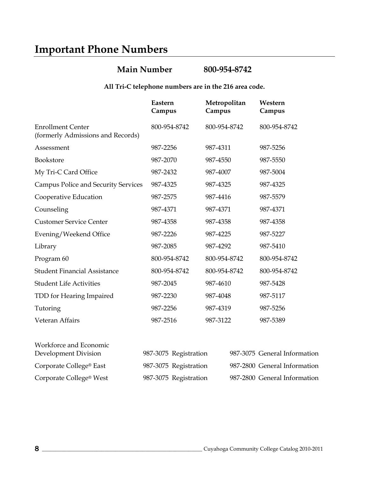# <span id="page-7-0"></span>**Important Phone Numbers**

### **Main Number 800-954-8742**

#### **All Tri-C telephone numbers are in the 216 area code.**

|                                                               | Eastern<br>Campus | Metropolitan<br>Campus | Western<br>Campus |
|---------------------------------------------------------------|-------------------|------------------------|-------------------|
| <b>Enrollment Center</b><br>(formerly Admissions and Records) | 800-954-8742      | 800-954-8742           | 800-954-8742      |
| Assessment                                                    | 987-2256          | 987-4311               | 987-5256          |
| Bookstore                                                     | 987-2070          | 987-4550               | 987-5550          |
| My Tri-C Card Office                                          | 987-2432          | 987-4007               | 987-5004          |
| <b>Campus Police and Security Services</b>                    | 987-4325          | 987-4325               | 987-4325          |
| Cooperative Education                                         | 987-2575          | 987-4416               | 987-5579          |
| Counseling                                                    | 987-4371          | 987-4371               | 987-4371          |
| <b>Customer Service Center</b>                                | 987-4358          | 987-4358               | 987-4358          |
| Evening/Weekend Office                                        | 987-2226          | 987-4225               | 987-5227          |
| Library                                                       | 987-2085          | 987-4292               | 987-5410          |
| Program 60                                                    | 800-954-8742      | 800-954-8742           | 800-954-8742      |
| <b>Student Financial Assistance</b>                           | 800-954-8742      | 800-954-8742           | 800-954-8742      |
| <b>Student Life Activities</b>                                | 987-2045          | 987-4610               | 987-5428          |
| TDD for Hearing Impaired                                      | 987-2230          | 987-4048               | 987-5117          |
| Tutoring                                                      | 987-2256          | 987-4319               | 987-5256          |
| Veteran Affairs                                               | 987-2516          | 987-3122               | 987-5389          |
| Workforce and Economic                                        |                   |                        |                   |

| Development Division                | 987-3075 Registration | 987-3075 General Information |
|-------------------------------------|-----------------------|------------------------------|
| Corporate College® East             | 987-3075 Registration | 987-2800 General Information |
| Corporate College <sup>®</sup> West | 987-3075 Registration | 987-2800 General Information |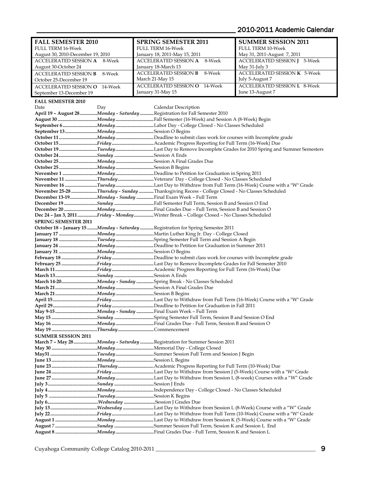### \_\_\_\_\_\_\_\_\_\_\_\_\_\_\_\_\_\_\_\_\_\_\_\_\_\_\_\_\_\_\_\_\_\_\_\_\_\_\_\_\_\_\_\_\_\_\_\_\_\_\_\_\_\_\_ 2010-2011 Academic Calendar

<span id="page-8-0"></span>

| <b>FALL SEMESTER 2010</b>            |        | <b>SPRING SEMESTER 2011</b>                                                                  | <b>SUMMER SESSION 2011</b>          |
|--------------------------------------|--------|----------------------------------------------------------------------------------------------|-------------------------------------|
| <b>FULL TERM 16-Week</b>             |        | <b>FULL TERM 16-Week</b>                                                                     | <b>FULL TERM 10-Week</b>            |
| August 30, 2010-December 19, 2010    |        | January 18, 2011-May 15, 2011                                                                | May 31, 2011-August 7, 2011         |
| <b>ACCELERATED SESSION A</b> 8-Week  |        | ACCELERATED SESSION A<br>8-Week                                                              | <b>ACCELERATED SESSION J 5-Week</b> |
| August 30-October 24                 |        | January 18-March 13                                                                          | May 31-July 3                       |
|                                      |        |                                                                                              |                                     |
| <b>ACCELERATED SESSION B</b>         | 8-Week | <b>ACCELERATED SESSION B</b><br>8-Week                                                       | <b>ACCELERATED SESSION K 5-Week</b> |
| October 25-December 19               |        | March 21-May 15                                                                              | July 5-August 7                     |
| <b>ACCELERATED SESSION O 14-Week</b> |        | <b>ACCELERATED SESSION O</b> 14-Week                                                         | <b>ACCELERATED SESSION L</b> 8-Week |
| September 13-December 19             |        | January 31-May 15                                                                            | June 13-August 7                    |
|                                      |        |                                                                                              |                                     |
| <b>FALL SEMESTER 2010</b>            |        |                                                                                              |                                     |
| Date                                 | Day    | Calendar Description                                                                         |                                     |
|                                      |        | April 19 - August 28 Monday - Saturday Registration for Fall Semester 2010                   |                                     |
|                                      |        | August 30 Monday Fall Semester (16-Week) and Session A (8-Week) Begin                        |                                     |
|                                      |        |                                                                                              |                                     |
|                                      |        |                                                                                              |                                     |
|                                      |        |                                                                                              |                                     |
|                                      |        |                                                                                              |                                     |
|                                      |        |                                                                                              |                                     |
|                                      |        | October 19 Tuesday Last Day to Remove Incomplete Grades for 2010 Spring and Summer Semesters |                                     |
| October 24 Sunday Session A Ends     |        |                                                                                              |                                     |
|                                      |        |                                                                                              |                                     |
|                                      |        |                                                                                              |                                     |
|                                      |        |                                                                                              |                                     |
|                                      |        |                                                                                              |                                     |
|                                      |        | November 11 Thursday  Veterans' Day - College Closed - No Classes Scheduled                  |                                     |
|                                      |        | November 16 Tuesday Last Day to Withdraw from Full Term (16-Week) Course with a "W" Grade    |                                     |
|                                      |        | November 25-28 Thursday - Sunday Thanksgiving Recess - College Closed - No Classes Scheduled |                                     |
|                                      |        | December 13-19Monday - Sunday Final Exam Week - Full Term                                    |                                     |
|                                      |        |                                                                                              |                                     |
|                                      |        |                                                                                              |                                     |
|                                      |        |                                                                                              |                                     |
|                                      |        | Dec 24 - Jan 3, 2011 Friday - Monday Winter Break - College Closed - No Classes Scheduled    |                                     |
| <b>SPRING SEMESTER 2011</b>          |        |                                                                                              |                                     |
|                                      |        | October 18 - January 15 Monday - Saturday Registration for Spring Semester 2011              |                                     |
|                                      |        | January 17 <i>Monday </i> Martin Luther King Jr. Day - College Closed                        |                                     |
|                                      |        | January 18 Tuesday Spring Semester Full Term and Session A Begin                             |                                     |
|                                      |        |                                                                                              |                                     |
|                                      |        |                                                                                              |                                     |
|                                      |        |                                                                                              |                                     |
|                                      |        |                                                                                              |                                     |
|                                      |        |                                                                                              |                                     |
|                                      |        |                                                                                              |                                     |
| March 13SundaySession A Ends         |        |                                                                                              |                                     |
|                                      |        | March 14-20Monday - Sunday Spring Break - No Classes Scheduled                               |                                     |
|                                      |        |                                                                                              |                                     |
|                                      |        |                                                                                              |                                     |
|                                      |        |                                                                                              |                                     |
|                                      |        |                                                                                              |                                     |
|                                      |        |                                                                                              |                                     |
|                                      |        |                                                                                              |                                     |
|                                      |        |                                                                                              |                                     |
|                                      |        |                                                                                              |                                     |
|                                      |        |                                                                                              |                                     |
| <b>SUMMER SESSION 2011</b>           |        |                                                                                              |                                     |
|                                      |        | March 7 - May 28 Monday - Saturday Registration for Summer Session 2011                      |                                     |
|                                      |        |                                                                                              |                                     |
|                                      |        |                                                                                              |                                     |
|                                      |        |                                                                                              |                                     |
|                                      |        |                                                                                              |                                     |
|                                      |        |                                                                                              |                                     |
|                                      |        |                                                                                              |                                     |
|                                      |        |                                                                                              |                                     |
|                                      |        |                                                                                              |                                     |
|                                      |        |                                                                                              |                                     |
|                                      |        |                                                                                              |                                     |
|                                      |        |                                                                                              |                                     |
|                                      |        |                                                                                              |                                     |
|                                      |        |                                                                                              |                                     |
|                                      |        |                                                                                              |                                     |
|                                      |        |                                                                                              |                                     |
|                                      |        |                                                                                              |                                     |
|                                      |        |                                                                                              |                                     |
|                                      |        |                                                                                              |                                     |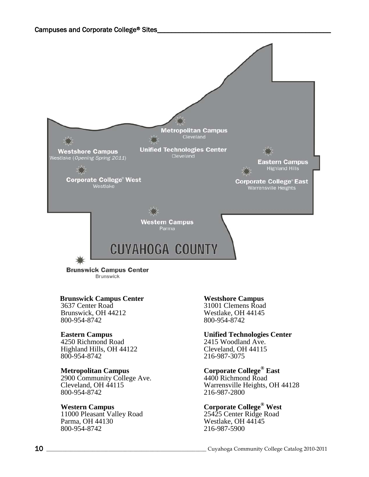

**Brunswick Campus Center Brunswick** 

#### <span id="page-9-0"></span> **Brunswick Campus Center**

3637 Center Road Brunswick, OH 44212 800-954-8742

#### **Eastern Campus**

4250 Richmond Road Highland Hills, OH 44122 800-954-8742

#### **Metropolitan Campus**

2900 Community College Ave. Cleveland, OH 44115 800-954-8742

#### **Western Campus**

11000 Pleasant Valley Road Parma, OH 44130 800-954-8742

#### **Westshore Campus**

31001 Clemens Road Westlake, OH 44145 800-954-8742

#### **Unified Technologies Center**

2415 Woodland Ave. Cleveland, OH 44115 216-987-3075

#### **Corporate College® East**

4400 Richmond Road Warrensville Heights, OH 44128 216-987-2800

### **Corporate College® West**

25425 Center Ridge Road Westlake, OH 44145 216-987-5900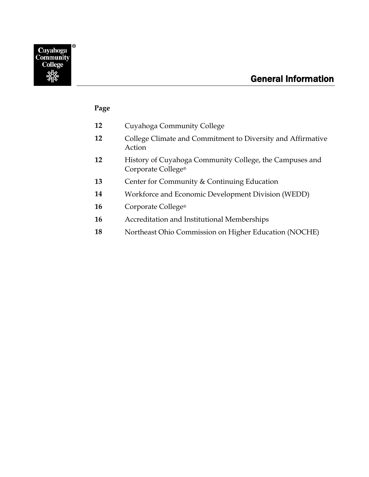### <span id="page-10-0"></span>**Page**

- **12** Cuyahoga Community College
- **12** College Climate and Commitment to Diversity and Affirmative Action
- **12** History of Cuyahoga Community College, the Campuses and Corporate College®
- **13** Center for Community & Continuing Education
- **14** Workforce and Economic Development Division (WEDD)
- **16** Corporate College®
- **16** Accreditation and Institutional Memberships
- **18** Northeast Ohio Commission on Higher Education (NOCHE)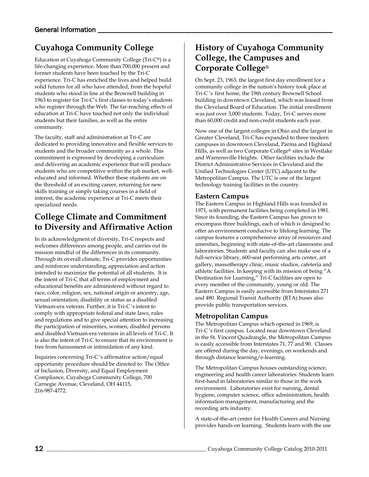# <span id="page-11-0"></span>**Cuyahoga Community College**

Education at Cuyahoga Community College (Tri-C®) is a life-changing experience. More than 700,000 present and former students have been touched by the Tri-C experience. Tri-C has enriched the lives and helped build solid futures for all who have attended, from the hopeful students who stood in line at the Brownell building in 1963 to register for Tri-C's first classes to today's students who register through the Web. The far-reaching effects of education at Tri-C have touched not only the individual students but their families, as well as the entire community.

The faculty, staff and administration at Tri-C are dedicated to providing innovative and flexible services to students and the broader community as a whole. This commitment is expressed by developing a curriculum and delivering an academic experience that will produce students who are competitive within the job market, welleducated and informed. Whether these students are on the threshold of an exciting career, returning for new skills training or simply taking courses in a field of interest, the academic experience at Tri-C meets their specialized needs.

### <span id="page-11-1"></span>**College Climate and Commitment to Diversity and Affirmative Action**

In its acknowledgment of diversity, Tri-C respects and welcomes differences among people, and carries out its mission mindful of the differences in its community. Through its overall climate, Tri-C provides opportunities and reinforces understanding, appreciation and action intended to maximize the potential of all students. It is the intent of Tri-C that all terms of employment and educational benefits are administered without regard to race, color, religion, sex, national origin or ancestry, age, sexual orientation, disability or status as a disabled Vietnam-era veteran. Further, it is Tri-C 's intent to comply with appropriate federal and state laws, rules and regulations and to give special attention to increasing the participation of minorities, women, disabled persons and disabled Vietnam-era veterans in all levels of Tri-C. It is also the intent of Tri-C to ensure that its environment is free from harassment or intimidation of any kind.

Inquiries concerning Tri-C 's affirmative action/equal opportunity procedure should be directed to: The Office of Inclusion, Diversity, and Equal Employment Compliance, Cuyahoga Community College, 700 Carnegie Avenue, Cleveland, OH 44115, 216-987-4772.

## <span id="page-11-2"></span>**History of Cuyahoga Community College, the Campuses and Corporate College®**

On Sept. 23, 1963, the largest first day enrollment for a community college in the nation's history took place at Tri-C 's first home, the 19th century Brownell School building in downtown Cleveland, which was leased from the Cleveland Board of Education. The initial enrollment was just over 3,000 students. Today, Tri-C serves more than 60,000 credit and non-credit students each year.

Now one of the largest colleges in Ohio and the largest in Greater Cleveland, Tri-C has expanded to three modern campuses in downtown Cleveland, Parma and Highland Hills, as well as two Corporate College® sites in Westlake and Warrensville Heights. Other facilities include the District Administrative Services in Cleveland and the Unified Technologies Center (UTC) adjacent to the Metropolitan Campus. The UTC is one of the largest technology training facilities in the country.

#### **Eastern Campus**

The Eastern Campus in Highland Hills was founded in 1971, with permanent facilities being completed in 1981. Since its founding, the Eastern Campus has grown to encompass three buildings, each of which is designed to offer an environment conducive to lifelong learning. The campus features a comprehensive array of resources and amenities, beginning with state-of-the-art classrooms and laboratories. Students and faculty can also make use of a full-service library, 600-seat performing arts center, art gallery, massotherapy clinic, music studios, cafeteria and athletic facilities. In keeping with its mission of being "A Destination for Learning," Tri-C facilities are open to every member of the community, young or old. The Eastern Campus is easily accessible from Interstates 271 and 480. Regional Transit Authority (RTA) buses also provide public transportation services.

#### **Metropolitan Campus**

The Metropolitan Campus which opened in 1969, is Tri-C 's first campus. Located near downtown Cleveland in the St. Vincent Quadrangle, the Metropolitan Campus is easily accessible from Interstates 71, 77 and 90. Classes are offered during the day, evenings, on weekends and through distance learning/e-learning.

The Metropolitan Campus houses outstanding science, engineering and health career laboratories. Students learn first-hand in laboratories similar to those in the work environment. Laboratories exist for nursing, dental hygiene, computer science, office administration, health information management, manufacturing and the recording arts industry.

A state-of-the-art center for Health Careers and Nursing provides hands-on learning. Students learn with the use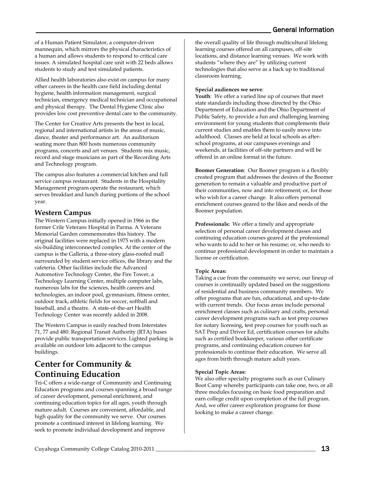of a Human Patient Simulator, a computer-driven mannequin, which mirrors the physical characteristics of a human and allows students to respond to critical care issues. A simulated hospital care unit with 22 beds allows students to study and test simulated patients.

Allied health laboratories also exist on campus for many other careers in the health care field including dental hygiene, health information management, surgical technician, emergency medical technician and occupational and physical therapy. The Dental Hygiene Clinic also provides low cost preventive dental care to the community.

The Center for Creative Arts presents the best in local, regional and international artists in the areas of music, dance, theater and performance art. An auditorium seating more than 800 hosts numerous community programs, concerts and art venues. Students mix music, record and stage musicians as part of the Recording Arts and Technology program.

The campus also features a commercial kitchen and full service campus restaurant. Students in the Hospitality Management program operate the restaurant, which serves breakfast and lunch during portions of the school year.

#### **Western Campus**

The Western Campus initially opened in 1966 in the former Crile Veterans Hospital in Parma. A Veterans Memorial Garden commemorates this history. The original facilities were replaced in 1975 with a modern six-building interconnected complex. At the center of the campus is the Galleria, a three-story glass-roofed mall surrounded by student service offices, the library and the cafeteria. Other facilities include the Advanced Automotive Technology Center, the Fire Tower, a Technology Learning Center, multiple computer labs, numerous labs for the sciences, health careers and technologies, an indoor pool, gymnasium, fitness center, outdoor track, athletic fields for soccer, softball and baseball, and a theatre. A state-of-the-art Health Technology Center was recently added in 2008.

The Western Campus is easily reached from Interstates 71, 77 and 480. Regional Transit Authority (RTA) buses provide public transportation services. Lighted parking is available on outdoor lots adjacent to the campus buildings.

### **Center for Community & Continuing Education**

Tri-C offers a wide-range of Community and Continuing Education programs and courses spanning a broad range of career development, personal enrichment, and continuing education topics for all ages, youth through mature adult. Courses are convenient, affordable, and high quality for the community we serve. Our courses promote a continued interest in lifelong learning. We seek to promote individual development and improve

the overall quality of life through multicultural lifelong learning courses offered on all campuses, off-site locations, and distance learning venues. We work with students "where they are" by utilizing current technologies that also serve as a back up to traditional classroom learning.

#### **Special audiences we serve**:

**Youth**: We offer a varied line up of courses that meet state standards including those directed by the Ohio Department of Education and the Ohio Department of Public Safety, to provide a fun and challenging learning environment for young students that complements their current studies and enables them to easily move into adulthood. Classes are held at local schools as afterschool programs, at our campuses evenings and weekends, at facilities of off-site partners and will be offered in an online format in the future.

**Boomer Generation**: Our Boomer program is a flexibly created program that addresses the desires of the Boomer generation to remain a valuable and productive part of their communities, now and into retirement; or, for those who wish for a career change. It also offers personal enrichment courses geared to the likes and needs of the Boomer population.

**Professionals:** We offer a timely and appropriate selection of personal career development classes and continuing education courses geared at the professional who wants to add to her or his resume; or, who needs to continue professional development in order to maintain a license or certification.

#### **Topic Areas:**

Taking a cue from the community we serve, our lineup of courses is continually updated based on the suggestions of residential and business community members. We offer programs that are fun, educational, and up-to-date with current trends. Our focus areas include personal enrichment classes such as culinary and crafts, personal career development programs such as test prep courses for notary licensing, test prep courses for youth such as SAT Prep and Driver Ed, certification courses for adults such as certified bookkeeper, various other certificate programs, and continuing education courses for professionals to continue their education. We serve all ages from birth through mature adult years.

#### **Special Topic Areas:**

We also offer specialty programs such as our Culinary Boot Camp whereby participants can take one, two, or all three modules focusing on basic food preparation and earn college credit upon completion of the full program. And, we offer career exploration programs for those looking to make a career change.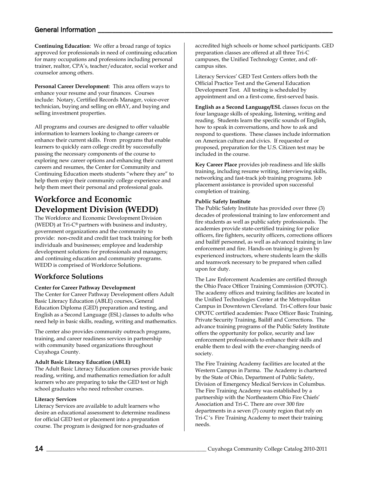**Continuing Education**: We offer a broad range of topics approved for professionals in need of continuing education for many occupations and professions including personal trainer, realtor, CPA's, teacher/educator, social worker and counselor among others.

**Personal Career Development**: This area offers ways to enhance your resume and your finances. Courses include: Notary, Certified Records Manager, voice-over technician, buying and selling on eBAY, and buying and selling investment properties.

All programs and courses are designed to offer valuable information to learners looking to change careers or enhance their current skills. From programs that enable learners to quickly earn college credit by successfully passing the necessary components of the course to exploring new career options and enhancing their current careers and resumes, the Center for Community and Continuing Education meets students "where they are" to help them enjoy their community college experience and help them meet their personal and professional goals.

## <span id="page-13-0"></span>**Workforce and Economic Development Division (WEDD)**

The Workforce and Economic Development Division (WEDD) at Tri-C® partners with business and industry, government organizations and the community to provide: non-credit and credit fast track training for both individuals and businesses; employee and leadership development solutions for professionals and managers; and continuing education and community programs. WEDD is comprised of Workforce Solutions.

### <span id="page-13-1"></span>**Workforce Solutions**

#### <span id="page-13-2"></span>**Center for Career Pathway Development**

The Center for Career Pathway Development offers Adult Basic Literacy Education (ABLE) courses, General Education Diploma (GED) preparation and testing, and English as a Second Language (ESL) classes to adults who need help in basic skills, reading, writing and mathematics.

The center also provides community outreach programs, training, and career readiness services in partnership with community based organizations throughout Cuyahoga County.

#### <span id="page-13-3"></span>**Adult Basic Literacy Education (ABLE)**

The Adult Basic Literacy Education courses provide basic reading, writing, and mathematics remediation for adult learners who are preparing to take the GED test or high school graduates who need refresher courses.

#### **Literacy Services**

Literacy Services are available to adult learners who desire an educational assessment to determine readiness for official GED test or placement into a preparation course. The program is designed for non-graduates of

accredited high schools or home school participants. GED preparation classes are offered at all three Tri-C campuses, the Unified Technology Center, and offcampus sites.

Literacy Services' GED Test Centers offers both the Official Practice Test and the General Education Development Test. All testing is scheduled by appointment and on a first-come, first-served basis.

<span id="page-13-5"></span>**English as a Second Language/ESL** classes focus on the four language skills of speaking, listening, writing and reading. Students learn the specific sounds of English, how to speak in conversations, and how to ask and respond to questions. These classes include information on American culture and civics. If requested or proposed, preparation for the U.S. Citizen test may be included in the course.

<span id="page-13-6"></span>**Key Career Place** provides job readiness and life skills training, including resume writing, interviewing skills, networking and fast-track job training programs. Job placement assistance is provided upon successful completion of training.

#### <span id="page-13-7"></span>**Public Safety Institute**

The Public Safety Institute has provided over three (3) decades of professional training to law enforcement and fire students as well as public safety professionals. The academies provide state-certified training for police officers, fire fighters, security officers, corrections officers and bailiff personnel, as well as advanced training in law enforcement and fire. Hands-on training is given by experienced instructors, where students learn the skills and teamwork necessary to be prepared when called upon for duty.

The Law Enforcement Academies are certified through the Ohio Peace Officer Training Commission (OPOTC). The academy offices and training facilities are located in the Unified Technologies Center at the Metropolitan Campus in Downtown Cleveland. Tri-C offers four basic OPOTC certified academies: Peace Officer Basic Training, Private Security Training, Bailiff and Corrections. The advance training programs of the Public Safety Institute offers the opportunity for police, security and law enforcement professionals to enhance their skills and enable them to deal with the ever-changing needs of society.

<span id="page-13-4"></span>The Fire Training Academy facilities are located at the Western Campus in Parma. The Academy is chartered by the State of Ohio, Department of Public Safety, Division of Emergency Medical Services in Columbus. The Fire Training Academy was established by a partnership with the Northeastern Ohio Fire Chiefs' Association and Tri-C. There are over 300 fire departments in a seven (7) county region that rely on Tri-C 's Fire Training Academy to meet their training needs.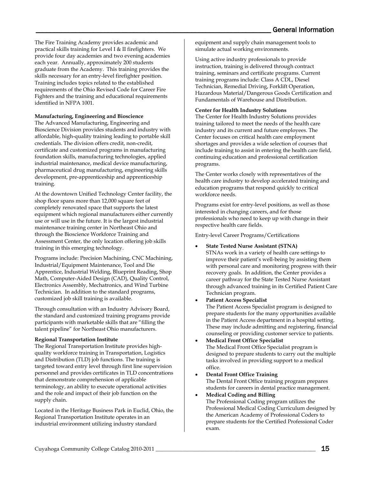The Fire Training Academy provides academic and practical skills training for Level I & II firefighters. We provide four day academies and two evening academies each year. Annually, approximately 200 students graduate from the Academy. This training provides the skills necessary for an entry-level firefighter position. Training includes topics related to the established requirements of the Ohio Revised Code for Career Fire Fighters and the training and educational requirements identified in NFPA 1001.

#### **Manufacturing, Engineering and Bioscience**

The Advanced Manufacturing, Engineering and Bioscience Division provides students and industry with affordable, high-quality training leading to portable skill credentials. The division offers credit, non-credit, certificate and customized programs in manufacturing foundation skills, manufacturing technologies, applied industrial maintenance, medical device manufacturing, pharmaceutical drug manufacturing, engineering skills development, pre-apprenticeship and apprenticeship training.

At the downtown Unified Technology Center facility, the shop floor spans more than 12,000 square feet of completely renovated space that supports the latest equipment which regional manufacturers either currently use or will use in the future. It is the largest industrial maintenance training center in Northeast Ohio and through the Bioscience Workforce Training and Assessment Center, the only location offering job skills training in this emerging technology.

Programs include: Precision Machining, CNC Machining, Industrial/Equipment Maintenance, Tool and Die Apprentice, Industrial Welding, Blueprint Reading, Shop Math, Computer-Aided Design (CAD), Quality Control, Electronics Assembly, Mechatronics, and Wind Turbine Technician. In addition to the standard programs, customized job skill training is available.

Through consultation with an Industry Advisory Board, the standard and customized training programs provide participants with marketable skills that are "filling the talent pipeline" for Northeast Ohio manufacturers.

#### <span id="page-14-0"></span>**Regional Transportation Institute**

The Regional Transportation Institute provides highquality workforce training in Transportation, Logistics and Distribution (TLD) job functions. The training is targeted toward entry level through first line supervision personnel and provides certificates in TLD concentrations that demonstrate comprehension of applicable terminology, an ability to execute operational activities and the role and impact of their job function on the supply chain.

Located in the Heritage Business Park in Euclid, Ohio, the Regional Transportation Institute operates in an industrial environment utilizing industry standard

equipment and supply chain management tools to simulate actual working environments.

Using active industry professionals to provide instruction, training is delivered through contract training, seminars and certificate programs. Current training programs include: Class A CDL, Diesel Technician, Remedial Driving, Forklift Operation, Hazardous Material/Dangerous Goods Certification and Fundamentals of Warehouse and Distribution.

#### <span id="page-14-1"></span>**Center for Health Industry Solutions**

The Center for Health Industry Solutions provides training tailored to meet the needs of the health care industry and its current and future employees. The Center focuses on critical health care employment shortages and provides a wide selection of courses that include training to assist in entering the health care field, continuing education and professional certification programs.

The Center works closely with representatives of the health care industry to develop accelerated training and education programs that respond quickly to critical workforce needs.

Programs exist for entry-level positions, as well as those interested in changing careers, and for those professionals who need to keep up with change in their respective health care fields.

Entry-level Career Programs/Certifications

- **State Tested Nurse Assistant (STNA)** STNAs work in a variety of health care settings to improve their patient's well-being by assisting them with personal care and monitoring progress with their recovery goals. In addition, the Center provides a career pathway for the State Tested Nurse Assistant through advanced training in its Certified Patient Care Technician program.
- **Patient Access Specialist**

The Patient Access Specialist program is designed to prepare students for the many opportunities available in the Patient Access department in a hospital setting. These may include admitting and registering, financial counseling or providing customer service to patients.

- **Medical Front Office Specialist** The Medical Front Office Specialist program is designed to prepare students to carry out the multiple tasks involved in providing support to a medical office.
- **Dental Front Office Training** The Dental Front Office training program prepares students for careers in dental practice management.

• **Medical Coding and Billing** The Professional Coding program utilizes the Professional Medical Coding Curriculum designed by the American Academy of Professional Coders to prepare students for the Certified Professional Coder exam.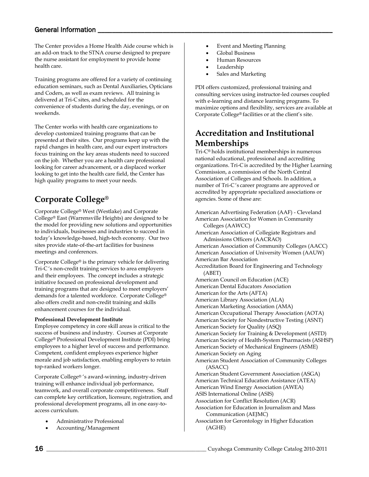The Center provides a Home Health Aide course which is an add-on track to the STNA course designed to prepare the nurse assistant for employment to provide home health care.

Training programs are offered for a variety of continuing education seminars, such as Dental Auxiliaries, Opticians and Coders, as well as exam reviews. All training is delivered at Tri-C sites, and scheduled for the convenience of students during the day, evenings, or on weekends.

The Center works with health care organizations to develop customized training programs that can be presented at their sites. Our programs keep up with the rapid changes in health care, and our expert instructors focus training on the key areas students need to succeed on the job. Whether you are a health care professional looking for career advancement, or a displaced worker looking to get into the health care field, the Center has high quality programs to meet your needs.

# **Corporate College®**

Corporate College® West (Westlake) and Corporate College® East (Warrensville Heights) are designed to be the model for providing new solutions and opportunities to individuals, businesses and industries to succeed in today's knowledge-based, high-tech economy. Our two sites provide state-of-the-art facilities for business meetings and conferences.

Corporate College® is the primary vehicle for delivering Tri-C 's non-credit training services to area employers and their employees. The concept includes a strategic initiative focused on professional development and training programs that are designed to meet employers' demands for a talented workforce. Corporate College® also offers credit and non-credit training and skills enhancement courses for the individual.

#### <span id="page-15-1"></span>**Professional Development Institute**

Employee competency in core skill areas is critical to the success of business and industry. Courses at Corporate College® Professional Development Institute (PDI) bring employees to a higher level of success and performance. Competent, confident employees experience higher morale and job satisfaction, enabling employers to retain top-ranked workers longer.

Corporate College® 's award-winning, industry-driven training will enhance individual job performance, teamwork, and overall corporate competitiveness. Staff can complete key certification, licensure, registration, and professional development programs, all in one easy-toaccess curriculum.

- Administrative Professional
- Accounting/Management
- Event and Meeting Planning
- Global Business
- Human Resources
- Leadership
- <span id="page-15-2"></span>• Sales and Marketing

PDI offers customized, professional training and consulting services using instructor-led courses coupled with e-learning and distance learning programs. To maximize options and flexibility, services are available at Corporate College® facilities or at the client's site.

### **Accreditation and Institutional Memberships**

<span id="page-15-0"></span>Tri-C® holds institutional memberships in numerous national educational, professional and accrediting organizations. Tri-C is accredited by the Higher Learning Commission, a commission of the North Central Association of Colleges and Schools. In addition, a number of Tri-C 's career programs are approved or accredited by appropriate specialized associations or agencies. Some of these are:

American Advertising Federation (AAF) - Cleveland American Association for Women in Community Colleges (AAWCC) American Association of Collegiate Registrars and Admissions Officers (AACRAO) American Association of Community Colleges (AACC) American Association of University Women (AAUW) American Bar Association Accreditation Board for Engineering and Technology (ABET) American Council on Education (ACE) American Dental Educators Association American for the Arts (AFTA) American Library Association (ALA) American Marketing Association (AMA) American Occupational Therapy Association (AOTA) American Society for Nondestructive Testing (ASNT) American Society for Quality (ASQ) American Society for Training & Development (ASTD) American Society of Health-System Pharmacists (ASHSP) American Society of Mechanical Engineers (ASME) American Society on Aging American Student Association of Community Colleges (ASACC) American Student Government Association (ASGA) American Technical Education Assistance (ATEA) American Wind Energy Association (AWEA) ASIS International Online (ASIS) Association for Conflict Resolution (ACR) Association for Education in Journalism and Mass Communication (AEJMC) Association for Gerontology in Higher Education (AGHE)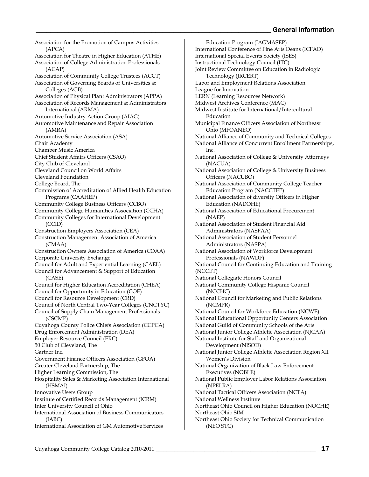Association for the Promotion of Campus Activities (APCA) Association for Theatre in Higher Education (ATHE) Association of College Administration Professionals (ACAP) Association of Community College Trustees (ACCT) Association of Governing Boards of Universities & Colleges (AGB) Association of Physical Plant Administrators (APPA) Association of Records Management & Administrators International (ARMA) Automotive Industry Action Group (AIAG) Automotive Maintenance and Repair Association (AMRA) Automotive Service Association (ASA) Chair Academy Chamber Music America Chief Student Affairs Officers (CSAO) City Club of Cleveland Cleveland Council on World Affairs Cleveland Foundation College Board, The Commission of Accreditation of Allied Health Education Programs (CAAHEP) Community College Business Officers (CCBO) Community College Humanities Association (CCHA) Community Colleges for International Development (CCID) Construction Employers Association (CEA) Construction Management Association of America (CMAA) Construction Owners Association of America (COAA) Corporate University Exchange Council for Adult and Experiential Learning (CAEL) Council for Advancement & Support of Education (CASE) Council for Higher Education Accreditation (CHEA) Council for Opportunity in Education (COE) Council for Resource Development (CRD) Council of North Central Two-Year Colleges (CNCTYC) Council of Supply Chain Management Professionals (CSCMP) Cuyahoga County Police Chiefs Association (CCPCA) Drug Enforcement Administration (DEA) Employer Resource Council (ERC) 50 Club of Cleveland, The Gartner Inc. Government Finance Officers Association (GFOA) Greater Cleveland Partnership, The Higher Learning Commission, The Hospitality Sales & Marketing Association International (HSMAI) Innovative Users Group Institute of Certified Records Management (ICRM) Inter University Council of Ohio International Association of Business Communicators (IABC) International Association of GM Automotive Services

Education Program (IAGMASEP) International Conference of Fine Arts Deans (ICFAD) International Special Events Society (ISES) Instructional Technology Council (ITC) Joint Review Committee on Education in Radiologic Technology (JRCERT) Labor and Employment Relations Association League for Innovation LERN (Learning Resources Network) Midwest Archives Conference (MAC) Midwest Institute for International/Intercultural Education Municipal Finance Officers Association of Northeast Ohio (MFOANEO) National Alliance of Community and Technical Colleges National Alliance of Concurrent Enrollment Partnerships, Inc. National Association of College & University Attorneys (NACUA) National Association of College & University Business Officers (NACUBO) National Association of Community College Teacher Education Program (NACCTEP) National Association of diversity Officers in Higher Education (NADOHE) National Association of Educational Procurement (NAEP) National Association of Student Financial Aid Administrators (NASFAA) National Association of Student Personnel Administrators (NASPA) National Association of Workforce Development Professionals (NAWDP) National Council for Continuing Education and Training (NCCET) National Collegiate Honors Council National Community College Hispanic Council (NCCHC) National Council for Marketing and Public Relations (NCMPR) National Council for Workforce Education (NCWE) National Educational Opportunity Centers Association National Guild of Community Schools of the Arts National Junior College Athletic Association (NJCAA) National Institute for Staff and Organizational Development (NISOD) National Junior College Athletic Association Region XII Women's Division National Organization of Black Law Enforcement Executives (NOBLE) National Public Employer Labor Relations Association (NPELRA) National Tactical Officers Association (NCTA) National Wellness Institute Northeast Ohio Council on Higher Education (NOCHE) Northeast Ohio SIM Northeast Ohio Society for Technical Communication (NEO STC)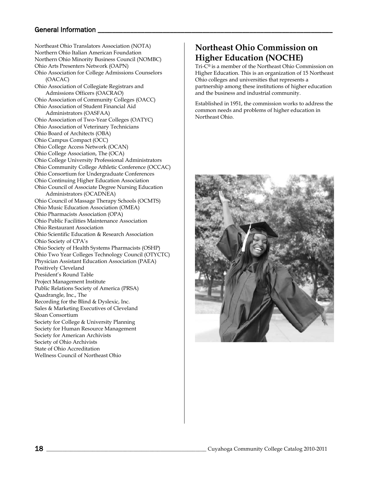Northeast Ohio Translators Association (NOTA) Northern Ohio Italian American Foundation Northern Ohio Minority Business Council (NOMBC) Ohio Arts Presenters Network (OAPN) Ohio Association for College Admissions Counselors (OACAC) Ohio Association of Collegiate Registrars and Admissions Officers (OACRAO) Ohio Association of Community Colleges (OACC) Ohio Association of Student Financial Aid Administrators (OASFAA) Ohio Association of Two-Year Colleges (OATYC) Ohio Association of Veterinary Technicians Ohio Board of Architects (OBA) Ohio Campus Compact (OCC) Ohio College Access Network (OCAN) Ohio College Association, The (OCA) Ohio College University Professional Administrators Ohio Community College Athletic Conference (OCCAC) Ohio Consortium for Undergraduate Conferences Ohio Continuing Higher Education Association Ohio Council of Associate Degree Nursing Education Administrators (OCADNEA) Ohio Council of Massage Therapy Schools (OCMTS) Ohio Music Education Association (OMEA) Ohio Pharmacists Association (OPA) Ohio Public Facilities Maintenance Association Ohio Restaurant Association Ohio Scientific Education & Research Association Ohio Society of CPA's Ohio Society of Health Systems Pharmacists (OSHP) Ohio Two Year Colleges Technology Council (OTYCTC) Physician Assistant Education Association (PAEA) Positively Cleveland President's Round Table Project Management Institute Public Relations Society of America (PRSA) Quadrangle, Inc., The Recording for the Blind & Dyslexic, Inc. Sales & Marketing Executives of Cleveland Sloan Consortium Society for College & University Planning Society for Human Resource Management Society for American Archivists Society of Ohio Archivists State of Ohio Accreditation Wellness Council of Northeast Ohio

### **Northeast Ohio Commission on Higher Education (NOCHE)**

Tri-C® is a member of the Northeast Ohio Commission on Higher Education. This is an organization of 15 Northeast Ohio colleges and universities that represents a partnership among these institutions of higher education and the business and industrial community.

Established in 1951, the commission works to address the common needs and problems of higher education in Northeast Ohio.

<span id="page-17-0"></span>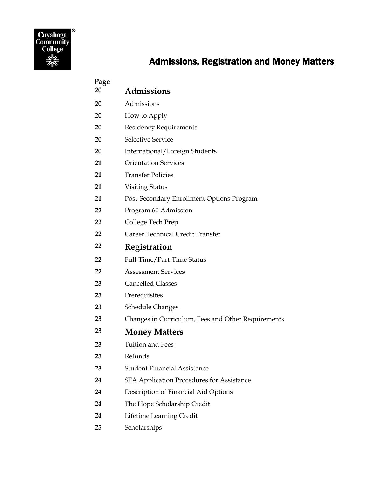<span id="page-18-0"></span>

| Page |                                                    |
|------|----------------------------------------------------|
| 20   | <b>Admissions</b>                                  |
| 20   | Admissions                                         |
| 20   | How to Apply                                       |
| 20   | <b>Residency Requirements</b>                      |
| 20   | <b>Selective Service</b>                           |
| 20   | International/Foreign Students                     |
| 21   | <b>Orientation Services</b>                        |
| 21   | <b>Transfer Policies</b>                           |
| 21   | <b>Visiting Status</b>                             |
| 21   | Post-Secondary Enrollment Options Program          |
| 22   | Program 60 Admission                               |
| 22   | College Tech Prep                                  |
| 22   | Career Technical Credit Transfer                   |
| 22   | Registration                                       |
| 22   | Full-Time/Part-Time Status                         |
| 22   | <b>Assessment Services</b>                         |
| 23   | <b>Cancelled Classes</b>                           |
| 23   | Prerequisites                                      |
| 23   | <b>Schedule Changes</b>                            |
| 23   | Changes in Curriculum, Fees and Other Requirements |
| 23   | <b>Money Matters</b>                               |
| 23   | Tuition and Fees                                   |
| 23   | Refunds                                            |
| 23   | <b>Student Financial Assistance</b>                |
| 24   | SFA Application Procedures for Assistance          |
| 24   | Description of Financial Aid Options               |
| 24   | The Hope Scholarship Credit                        |
| 24   | Lifetime Learning Credit                           |
| 25   | Scholarships                                       |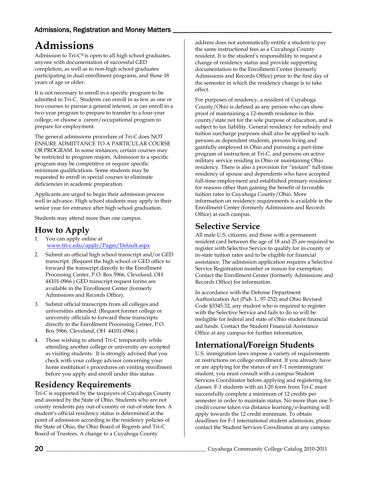# <span id="page-19-0"></span>**Admissions**

Admission to Tri-C® is open to all high school graduates, anyone with documentation of successful GED completion, as well as to non-high school graduates participating in dual enrollment programs, and those 18 years of age or older.

It is not necessary to enroll in a specific program to be admitted to Tri-C. Students can enroll in as few as one or two courses to pursue a general interest, or can enroll in a two-year program to prepare to transfer to a four-year college, or choose a career/occupational program to prepare for employment.

The general admissions procedure of Tri-C does NOT ENSURE ADMITTANCE TO A PARTICULAR COURSE OR PROGRAM. In some instances, certain courses may be restricted to program majors. Admission to a specific program may be competitive or require specific minimum qualifications. Some students may be requested to enroll in special courses to eliminate deficiencies in academic preparation.

Applicants are urged to begin their admission process well in advance. High school students may apply in their senior year for entrance after high school graduation.

Students may attend more than one campus.

### <span id="page-19-1"></span>**How to Apply**

- 1. You can apply online at [www.tri-c.edu/apply/Pages/Default.aspx](http://www.tri-c.edu/apply/Pages/Default.aspx)
- 2. Submit an official high school transcript and/or GED transcript. (Request the high school or GED office to forward the transcript directly to the Enrollment Processing Center, P.O. Box 5966, Cleveland, OH 44101-0966.) GED transcript request forms are available in the Enrollment Center (formerly Admissions and Records Office).
- 3. Submit official transcripts from all colleges and universities attended. (Request former college or university officials to forward these transcripts directly to the Enrollment Processing Center, P.O. Box 5966, Cleveland, OH 44101-0966.)
- 4. Those wishing to attend Tri-C temporarily while attending another college or university are accepted as visiting students. It is strongly advised that you check with your college advisor concerning your home institution's procedures on visiting enrollment before you apply and enroll under this status.

## <span id="page-19-2"></span>**Residency Requirements**

Tri-C is supported by the taxpayers of Cuyahoga County and assisted by the State of Ohio. Students who are not county residents pay out-of-county or out-of-state fees. A student's official residency status is determined at the point of admission according to the residency policies of the State of Ohio, the Ohio Board of Regents and Tri-C Board of Trustees. A change to a Cuyahoga County

address does not automatically entitle a student to pay the same instructional fees as a Cuyahoga County resident. It is the student's responsibility to request a change of residency status and provide supporting documentation to the Enrollment Center (formerly Admissions and Records Office) prior to the first day of the semester in which the residency change is to take effect.

For purposes of residency, a resident of Cuyahoga County/Ohio is defined as any person who can show proof of maintaining a 12-month residence in this county/state not for the sole purpose of education, and is subject to tax liability. General residency for subsidy and tuition surcharge purposes shall also be applied to such persons as dependent students, persons living and gainfully employed in Ohio and pursuing a part-time program of instruction at Tri-C, and persons on active military service residing in Ohio or maintaining Ohio residency. There is also a provision for "instant" full-time residency of spouse and dependents who have accepted full-time employment and established primary residence for reasons other than gaining the benefit of favorable tuition rates in Cuyahoga County/Ohio. More information on residency requirements is available in the Enrollment Center (formerly Admissions and Records Office) at each campus.

### <span id="page-19-3"></span>**Selective Service**

All male U.S. citizens, and those with a permanent resident card between the age of 18 and 25 are required to register with Selective Service to qualify for in-county or in-state tuition rates and to be eligible for financial assistance. The admission application requires a Selective Service Registration number or reason for exemption. Contact the Enrollment Center (formerly Admissions and Records Office) for information.

In accordance with the Defense Department Authorization Act (Pub. L. 97-252) and Ohio Revised Code §3345.32, any student who is required to register with the Selective Service and fails to do so will be ineligible for federal and state of Ohio student financial aid funds. Contact the Student Financial Assistance Office at any campus for further information.

# <span id="page-19-4"></span>**International/Foreign Students**

U.S. immigration laws impose a variety of requirements or restrictions on college enrollment. If you already have or are applying for the status of an F-1 nonimmigrant student, you must consult with a campus Student Services Coordinator before applying and registering for classes. F-1 students with an I-20 form from Tri-C must successfully complete a minimum of 12 credits per semester in order to maintain status. No more than one 3 credit course taken via distance learning/e-learning will apply towards the 12 credit minimum. To obtain deadlines for F-1 international student admission, please contact the Student Services Coordinator at any campus.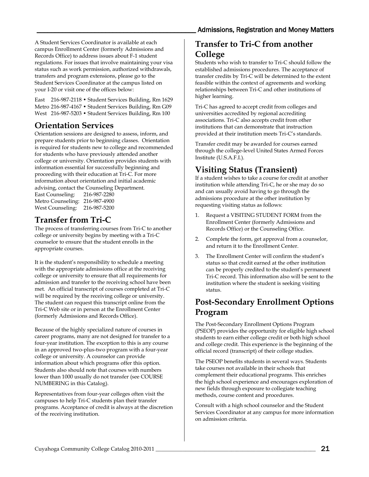A Student Services Coordinator is available at each campus Enrollment Center (formerly Admissions and Records Office) to address issues about F-1 student regulations. For issues that involve maintaining your visa status such as work permission, authorized withdrawals, transfers and program extensions, please go to the Student Services Coordinator at the campus listed on your I-20 or visit one of the offices below:

East 216-987-2118 • Student Services Building, Rm 1629 Metro 216-987-4167 • Student Services Building, Rm G09 West 216-987-5203 • Student Services Building, Rm 100

# <span id="page-20-0"></span>**Orientation Services**

Orientation sessions are designed to assess, inform, and prepare students prior to beginning classes. Orientation is required for students new to college and recommended for students who have previously attended another college or university. Orientation provides students with information essential for successfully beginning and proceeding with their education at Tri-C. For more information about orientation and initial academic advising, contact the Counseling Department. East Counseling: 216-987-2280 Metro Counseling: 216-987-4900 West Counseling: 216-987-5200

## <span id="page-20-1"></span>**Transfer from Tri-C**

The process of transferring courses from Tri-C to another college or university begins by meeting with a Tri-C counselor to ensure that the student enrolls in the appropriate courses.

It is the student's responsibility to schedule a meeting with the appropriate admissions office at the receiving college or university to ensure that all requirements for admission and transfer to the receiving school have been met. An official transcript of courses completed at Tri-C will be required by the receiving college or university. The student can request this transcript online from the Tri-C Web site or in person at the Enrollment Center (formerly Admissions and Records Office).

Because of the highly specialized nature of courses in career programs, many are not designed for transfer to a four-year institution. The exception to this is any course in an approved two-plus-two program with a four-year college or university. A counselor can provide information about which programs offer this option. Students also should note that courses with numbers lower than 1000 usually do not transfer (see COURSE NUMBERING in this Catalog).

Representatives from four-year colleges often visit the campuses to help Tri-C students plan their transfer programs. Acceptance of credit is always at the discretion of the receiving institution.

### **Transfer to Tri-C from another College**

Students who wish to transfer to Tri-C should follow the established admissions procedures. The acceptance of transfer credits by Tri-C will be determined to the extent feasible within the context of agreements and working relationships between Tri-C and other institutions of higher learning.

Tri-C has agreed to accept credit from colleges and universities accredited by regional accrediting associations. Tri-C also accepts credit from other institutions that can demonstrate that instruction provided at their institution meets Tri-C's standards.

Transfer credit may be awarded for courses earned through the college-level United States Armed Forces Institute (U.S.A.F.I.).

# <span id="page-20-2"></span>**Visiting Status (Transient)**

If a student wishes to take a course for credit at another institution while attending Tri-C, he or she may do so and can usually avoid having to go through the admissions procedure at the other institution by requesting visiting status as follows:

- 1. Request a VISITING STUDENT FORM from the Enrollment Center (formerly Admissions and Records Office) or the Counseling Office.
- 2. Complete the form, get approval from a counselor, and return it to the Enrollment Center.
- 3. The Enrollment Center will confirm the student's status so that credit earned at the other institution can be properly credited to the student's permanent Tri-C record. This information also will be sent to the institution where the student is seeking visiting status.

# <span id="page-20-3"></span>**Post-Secondary Enrollment Options Program**

The Post-Secondary Enrollment Options Program (PSEOP) provides the opportunity for eligible high school students to earn either college credit or both high school and college credit. This experience is the beginning of the official record (transcript) of their college studies.

The PSEOP benefits students in several ways. Students take courses not available in their schools that complement their educational programs. This enriches the high school experience and encourages exploration of new fields through exposure to collegiate teaching methods, course content and procedures.

Consult with a high school counselor and the Student Services Coordinator at any campus for more information on admission criteria.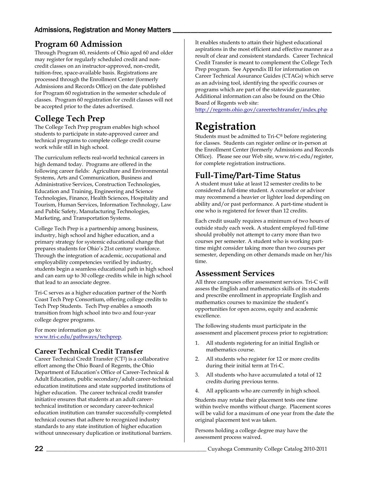# <span id="page-21-0"></span>**Program 60 Admission**

Through Program 60, residents of Ohio aged 60 and older may register for regularly scheduled credit and noncredit classes on an instructor-approved, non-credit, tuition-free, space-available basis. Registrations are processed through the Enrollment Center (formerly Admissions and Records Office) on the date published for Program 60 registration in the semester schedule of classes. Program 60 registration for credit classes will not be accepted prior to the dates advertised.

# <span id="page-21-1"></span>**College Tech Prep**

The College Tech Prep program enables high school students to participate in state-approved career and technical programs to complete college credit course work while still in high school.

The curriculum reflects real-world technical careers in high demand today. Programs are offered in the following career fields: Agriculture and Environmental Systems, Arts and Communication, Business and Administrative Services, Construction Technologies, Education and Training, Engineering and Science Technologies, Finance, Health Sciences, Hospitality and Tourism, Human Services, Information Technology, Law and Public Safety, Manufacturing Technologies, Marketing, and Transportation Systems.

College Tech Prep is a partnership among business, industry, high school and higher education, and a primary strategy for systemic educational change that prepares students for Ohio's 21st century workforce. Through the integration of academic, occupational and employability competencies verified by industry, students begin a seamless educational path in high school and can earn up to 30 college credits while in high school that lead to an associate degree.

Tri-C serves as a higher education partner of the North Coast Tech Prep Consortium, offering college credits to Tech Prep Students. Tech Prep enables a smooth transition from high school into two and four-year college degree programs.

For more information go to: [www.tri-c.edu/pathways/techprep.](http://www.tri-c.edu/pathways/techprep)

### <span id="page-21-2"></span>**Career Technical Credit Transfer**

Career Technical Credit Transfer (CT2) is a collaborative effort among the Ohio Board of Regents, the Ohio Department of Education's Office of Career-Technical & Adult Education, public secondary/adult career-technical education institutions and state supported institutions of higher education. The career technical credit transfer initiative ensures that students at an adult careertechnical institution or secondary career-technical education institution can transfer successfully-completed technical courses that adhere to recognized industry standards to any state institution of higher education without unnecessary duplication or institutional barriers.

It enables students to attain their highest educational aspirations in the most efficient and effective manner as a result of clear and consistent standards. Career Technical Credit Transfer is meant to complement the College Tech Prep program. See Appendix III for information on Career Technical Assurance Guides (CTAGs) which serve as an advising tool, identifying the specific courses or programs which are part of the statewide guarantee. Additional information can also be found on the Ohio Board of Regents web site:

<http://regents.ohio.gov/careertechtransfer/index.php>

# <span id="page-21-3"></span>**Registration**

Students must be admitted to Tri-C® before registering for classes. Students can register online or in-person at the Enrollment Center (formerly Admissions and Records Office). Please see our Web site, www.tri-c.edu/register, for complete registration instructions.

# <span id="page-21-4"></span>**Full-Time/Part-Time Status**

A student must take at least 12 semester credits to be considered a full-time student. A counselor or advisor may recommend a heavier or lighter load depending on ability and/or past performance. A part-time student is one who is registered for fewer than 12 credits.

Each credit usually requires a minimum of two hours of outside study each week. A student employed full-time should probably not attempt to carry more than two courses per semester. A student who is working parttime might consider taking more than two courses per semester, depending on other demands made on her/his time.

### <span id="page-21-5"></span>**Assessment Services**

All three campuses offer assessment services. Tri-C will assess the English and mathematics skills of its students and prescribe enrollment in appropriate English and mathematics courses to maximize the student's opportunities for open access, equity and academic excellence.

The following students must participate in the assessment and placement process prior to registration:

- 1. All students registering for an initial English or mathematics course.
- 2. All students who register for 12 or more credits during their initial term at Tri-C.
- 3. All students who have accumulated a total of 12 credits during previous terms.
- All applicants who are currently in high school.

Students may retake their placement tests one time within twelve months without charge. Placement scores will be valid for a maximum of one year from the date the original placement test was taken.

Persons holding a college degree may have the assessment process waived.

22 \_\_\_\_\_\_\_\_\_\_\_\_\_\_\_\_\_\_\_\_\_\_\_\_\_\_\_\_\_\_\_\_\_\_\_\_\_\_\_\_\_\_\_\_\_\_\_\_\_\_\_\_\_\_\_\_\_\_\_ Cuyahoga Community College Catalog 2010-2011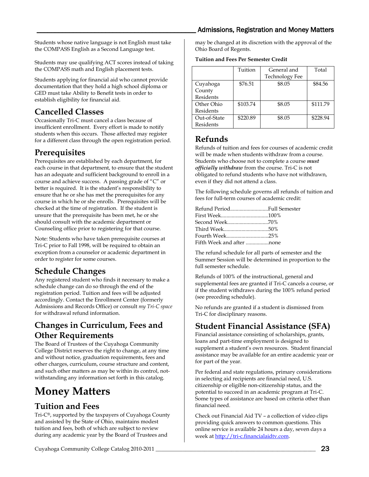### Admissions, Registration and Money Matters

Students whose native language is not English must take the COMPASS English as a Second Language test.

Students may use qualifying ACT scores instead of taking the COMPASS math and English placement tests.

Students applying for financial aid who cannot provide documentation that they hold a high school diploma or GED must take Ability to Benefit tests in order to establish eligibility for financial aid.

# <span id="page-22-0"></span>**Cancelled Classes**

Occasionally Tri-C must cancel a class because of insufficient enrollment. Every effort is made to notify students when this occurs. Those affected may register for a different class through the open registration period.

# <span id="page-22-1"></span>**Prerequisites**

Prerequisites are established by each department, for each course in that department, to ensure that the student has an adequate and sufficient background to enroll in a course and achieve success. A passing grade of "C" or better is required. It is the student's responsibility to ensure that he or she has met the prerequisites for any course in which he or she enrolls. Prerequisites will be checked at the time of registration. If the student is unsure that the prerequisite has been met, he or she should consult with the academic department or Counseling office prior to registering for that course.

Note: Students who have taken prerequisite courses at Tri-C prior to Fall 1998, will be required to obtain an exception from a counselor or academic department in order to register for some courses.

# <span id="page-22-2"></span>**Schedule Changes**

Any registered student who finds it necessary to make a schedule change can do so through the end of the registration period. Tuition and fees will be adjusted accordingly. Contact the Enrollment Center (formerly Admissions and Records Office) or consult *my Tri-C space* for withdrawal refund information.

# <span id="page-22-3"></span>**Changes in Curriculum, Fees and Other Requirements**

The Board of Trustees of the Cuyahoga Community College District reserves the right to change, at any time and without notice, graduation requirements, fees and other charges, curriculum, course structure and content, and such other matters as may be within its control, notwithstanding any information set forth in this catalog.

# <span id="page-22-4"></span>**Money Matters**

# <span id="page-22-5"></span>**Tuition and Fees**

Tri-C®, supported by the taxpayers of Cuyahoga County and assisted by the State of Ohio, maintains modest tuition and fees, both of which are subject to review during any academic year by the Board of Trustees and

may be changed at its discretion with the approval of the Ohio Board of Regents.

#### **Tuition and Fees Per Semester Credit**

|                  | Tuition  | General and           | Total    |
|------------------|----------|-----------------------|----------|
|                  |          | <b>Technology Fee</b> |          |
| Cuyahoga         | \$76.51  | \$8.05                | \$84.56  |
| County           |          |                       |          |
| <b>Residents</b> |          |                       |          |
| Other Ohio       | \$103.74 | \$8.05                | \$111.79 |
| Residents        |          |                       |          |
| Out-of-State     | \$220.89 | \$8.05                | \$228.94 |
| Residents        |          |                       |          |

### <span id="page-22-6"></span>**Refunds**

Refunds of tuition and fees for courses of academic credit will be made when students withdraw from a course. Students who choose not to complete a course *must officially withdraw* from the course. Tri-C is not obligated to refund students who have not withdrawn, even if they did not attend a class.

The following schedule governs all refunds of tuition and fees for full-term courses of academic credit:

| Refund PeriodFull Semester |  |
|----------------------------|--|
|                            |  |
|                            |  |
|                            |  |
|                            |  |
|                            |  |

The refund schedule for all parts of semester and the Summer Session will be determined in proportion to the full semester schedule.

Refunds of 100% of the instructional, general and supplemental fees are granted if Tri-C cancels a course, or if the student withdraws during the 100% refund period (see preceding schedule).

No refunds are granted if a student is dismissed from Tri-C for disciplinary reasons.

# <span id="page-22-7"></span>**Student Financial Assistance (SFA)**

Financial assistance consisting of scholarships, grants, loans and part-time employment is designed to supplement a student's own resources. Student financial assistance may be available for an entire academic year or for part of the year.

Per federal and state regulations, primary considerations in selecting aid recipients are financial need, U.S. citizenship or eligible non-citizenship status, and the potential to succeed in an academic program at Tri-C. Some types of assistance are based on criteria other than financial need.

<span id="page-22-8"></span>Check out Financial Aid TV – a collection of video clips providing quick answers to common questions. This online service is available 24 hours a day, seven days a week at [http://tri-c.financialaidtv.com.](http://tri-c.financialaidtv.com/)

Cuyahoga Community College Catalog 2010-2011 \_\_\_\_\_\_\_\_\_\_\_\_\_\_\_\_\_\_\_\_\_\_\_\_\_\_\_\_\_\_\_\_\_\_\_\_\_\_\_\_\_\_\_\_\_\_\_\_\_\_\_\_\_\_\_\_\_\_\_ 23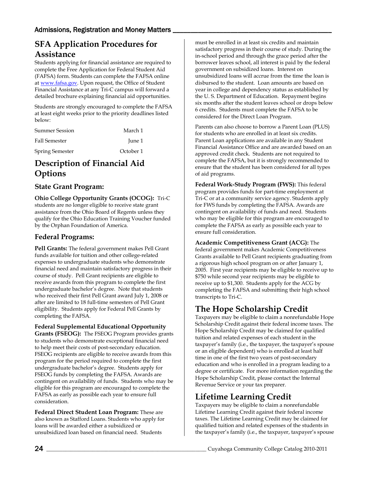# **SFA Application Procedures for Assistance**

Students applying for financial assistance are required to complete the Free Application for Federal Student Aid (FAFSA) form. Students can complete the FAFSA online a[t www.fafsa.gov.](http://www.fafsa.ed.gov/) Upon request, the Office of Student Financial Assistance at any Tri-C campus will forward a detailed brochure explaining financial aid opportunities.

Students are strongly encouraged to complete the FAFSA at least eight weeks prior to the priority deadlines listed below:

| <b>Summer Session</b>  | March 1   |
|------------------------|-----------|
| <b>Fall Semester</b>   | June 1    |
| <b>Spring Semester</b> | October 1 |

# <span id="page-23-0"></span>**Description of Financial Aid Options**

#### **State Grant Program:**

**Ohio College Opportunity Grants (OCOG):** Tri-C students are no longer eligible to receive state grant assistance from the Ohio Board of Regents unless they qualify for the Ohio Education Training Voucher funded by the Orphan Foundation of America.

### **Federal Programs:**

**Pell Grants:** The federal government makes Pell Grant funds available for tuition and other college-related expenses to undergraduate students who demonstrate financial need and maintain satisfactory progress in their course of study. Pell Grant recipients are eligible to receive awards from this program to complete the first undergraduate bachelor's degree. Note that students who received their first Pell Grant award July 1, 2008 or after are limited to 18 full-time semesters of Pell Grant eligibility. Students apply for Federal Pell Grants by completing the FAFSA.

**Federal Supplemental Educational Opportunity** 

**Grants (FSEOG):** The FSEOG Program provides grants to students who demonstrate exceptional financial need to help meet their costs of post-secondary education. FSEOG recipients are eligible to receive awards from this program for the period required to complete the first undergraduate bachelor's degree. Students apply for FSEOG funds by completing the FAFSA. Awards are contingent on availability of funds. Students who may be eligible for this program are encouraged to complete the FAFSA as early as possible each year to ensure full consideration.

**Federal Direct Student Loan Program:** These are also known as Stafford Loans. Students who apply for loans will be awarded either a subsidized or unsubsidized loan based on financial need. Students

must be enrolled in at least six credits and maintain satisfactory progress in their course of study. During the in-school period and through the grace period after the borrower leaves school, all interest is paid by the federal government on subsidized loans. Interest on unsubsidized loans will accrue from the time the loan is disbursed to the student. Loan amounts are based on year in college and dependency status as established by the U. S. Department of Education. Repayment begins six months after the student leaves school or drops below 6 credits. Students must complete the FAFSA to be considered for the Direct Loan Program.

Parents can also choose to borrow a Parent Loan (PLUS) for students who are enrolled in at least six credits. Parent Loan applications are available in any Student Financial Assistance Office and are awarded based on an approved credit check. Students are not required to complete the FAFSA, but it is strongly recommended to ensure that the student has been considered for all types of aid programs.

**Federal Work-Study Program (FWS):** This federal program provides funds for part-time employment at Tri-C or at a community service agency. Students apply for FWS funds by completing the FAFSA. Awards are contingent on availability of funds and need. Students who may be eligible for this program are encouraged to complete the FAFSA as early as possible each year to ensure full consideration.

**Academic Competitiveness Grant (ACG):** The federal government makes Academic Competitiveness Grants available to Pell Grant recipients graduating from a rigorous high school program on or after January 1, 2005. First year recipients may be eligible to receive up to \$750 while second year recipients may be eligible to receive up to \$1,300. Students apply for the ACG by completing the FAFSA and submitting their high school transcripts to Tri-C.

## <span id="page-23-1"></span>**The Hope Scholarship Credit**

Taxpayers may be eligible to claim a nonrefundable Hope Scholarship Credit against their federal income taxes. The Hope Scholarship Credit may be claimed for qualified tuition and related expenses of each student in the taxpayer's family (i.e., the taxpayer, the taxpayer's spouse or an eligible dependent) who is enrolled at least half time in one of the first two years of post-secondary education and who is enrolled in a program leading to a degree or certificate. For more information regarding the Hope Scholarship Credit, please contact the Internal Revenue Service or your tax preparer.

# <span id="page-23-2"></span>**Lifetime Learning Credit**

Taxpayers may be eligible to claim a nonrefundable Lifetime Learning Credit against their federal income taxes. The Lifetime Learning Credit may be claimed for qualified tuition and related expenses of the students in the taxpayer's family (i.e., the taxpayer, taxpayer's spouse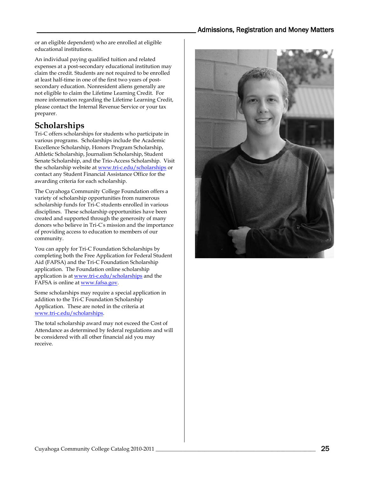or an eligible dependent) who are enrolled at eligible educational institutions.

An individual paying qualified tuition and related expenses at a post-secondary educational institution may claim the credit. Students are not required to be enrolled at least half-time in one of the first two years of postsecondary education. Nonresident aliens generally are not eligible to claim the Lifetime Learning Credit. For more information regarding the Lifetime Learning Credit, please contact the Internal Revenue Service or your tax preparer.

# <span id="page-24-0"></span>**Scholarships**

Tri-C offers scholarships for students who participate in various programs. Scholarships include the Academic Excellence Scholarship, Honors Program Scholarship, Athletic Scholarship, Journalism Scholarship, Student Senate Scholarship, and the Trio-Access Scholarship. Visit the scholarship website a[t www.tri-c.edu/scholarships](http://www.tri-c.edu/scholarships) or contact any Student Financial Assistance Office for the awarding criteria for each scholarship.

The Cuyahoga Community College Foundation offers a variety of scholarship opportunities from numerous scholarship funds for Tri-C students enrolled in various disciplines. These scholarship opportunities have been created and supported through the generosity of many donors who believe in Tri-C' s mission and the importance of providing access to education to members of our community.

You can apply for Tri-C Foundation Scholarships by completing both the Free Application for Federal Student Aid (FAFSA) and the Tri-C Foundation Scholarship application. The Foundation online scholarship application is at [www.tri-c.edu/scholarships](http://www.tri-c.edu/scholarships) and the FAFSA is online a[t www.fafsa.gov.](http://www.fafsa.ed.gov/)

Some scholarships may require a special application in addition to the Tri-C Foundation Scholarship Application. These are noted in the criteria at [www.tri-c.edu/scholarships.](http://www.tri-c.edu/scholarships)

The total scholarship award may not exceed the Cost of Attendance as determined by federal regulations and will be considered with all other financial aid you may receive.

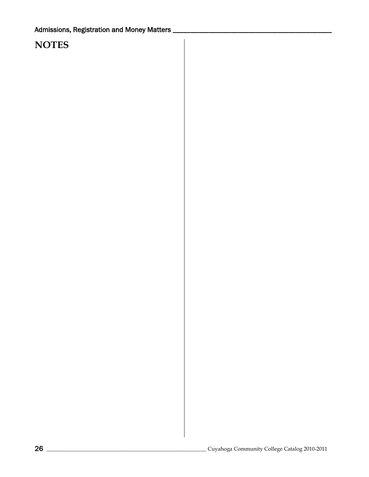# **NOTES**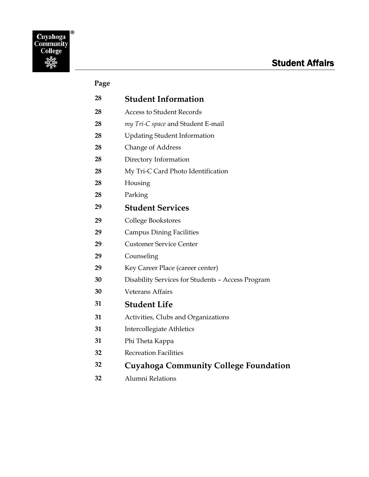<span id="page-26-0"></span>

### **Page**

| 28 | <b>Student Information</b>                        |
|----|---------------------------------------------------|
| 28 | <b>Access to Student Records</b>                  |
| 28 | my Tri-C space and Student E-mail                 |
| 28 | <b>Updating Student Information</b>               |
| 28 | <b>Change of Address</b>                          |
| 28 | Directory Information                             |
| 28 | My Tri-C Card Photo Identification                |
| 28 | Housing                                           |
| 28 | Parking                                           |
| 29 | <b>Student Services</b>                           |
| 29 | College Bookstores                                |
| 29 | <b>Campus Dining Facilities</b>                   |
| 29 | <b>Customer Service Center</b>                    |
| 29 | Counseling                                        |
| 29 | Key Career Place (career center)                  |
| 30 | Disability Services for Students - Access Program |
| 30 | <b>Veterans Affairs</b>                           |
| 31 | <b>Student Life</b>                               |
| 31 | Activities, Clubs and Organizations               |
| 31 | <b>Intercollegiate Athletics</b>                  |
| 31 | Phi Theta Kappa                                   |
| 32 | <b>Recreation Facilities</b>                      |
| 32 | <b>Cuyahoga Community College Foundation</b>      |
|    |                                                   |

Alumni Relations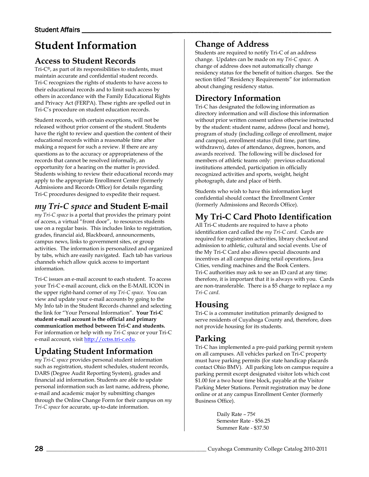# <span id="page-27-0"></span>**Student Information**

## <span id="page-27-1"></span>**Access to Student Records**

Tri-C®, as part of its responsibilities to students, must maintain accurate and confidential student records. Tri-C recognizes the rights of students to have access to their educational records and to limit such access by others in accordance with the Family Educational Rights and Privacy Act (FERPA). These rights are spelled out in Tri-C's procedure on student education records.

Student records, with certain exceptions, will not be released without prior consent of the student. Students have the right to review and question the content of their educational records within a reasonable time after making a request for such a review. If there are any questions as to the accuracy or appropriateness of the records that cannot be resolved informally, an opportunity for a hearing on the matter is provided. Students wishing to review their educational records may apply to the appropriate Enrollment Center (formerly Admissions and Records Office) for details regarding Tri-C procedures designed to expedite their request.

# <span id="page-27-2"></span>*my Tri-C space* **and Student E-mail**

*my Tri-C space* is a portal that provides the primary point of access, a virtual "front door", to resources students use on a regular basis. This includes links to registration, grades, financial aid, Blackboard, announcements, campus news, links to government sites, or group activities. The information is personalized and organized by tabs, which are easily navigated. Each tab has various channels which allow quick access to important information.

Tri-C issues an e-mail account to each student. To access your Tri-C e-mail account, click on the E-MAIL ICON in the upper right-hand corner of *my Tri-C space*. You can view and update your e-mail accounts by going to the My Info tab in the Student Records channel and selecting the link for "Your Personal Information". **Your Tri-C student e-mail account is the official and primary communication method between Tri-C and students.** For information or help with *my Tri-C space* or your Tri-C e-mail account, visi[t http://cctss.tri-c.edu.](http://cctss.tri-c.edu/)

# <span id="page-27-3"></span>**Updating Student Information**

*my Tri-C space* provides personal student information such as registration, student schedules, student records, DARS (Degree Audit Reporting System), grades and financial aid information. Students are able to update personal information such as last name, address, phone, e-mail and academic major by submitting changes through the Online Change Form for their campus on *my Tri-C space* for accurate, up-to-date information.

# <span id="page-27-4"></span>**Change of Address**

Students are required to notify Tri-C of an address change. Updates can be made on *my Tri-C space*. A change of address does not automatically change residency status for the benefit of tuition charges. See the section titled "Residency Requirements" for information about changing residency status.

# <span id="page-27-5"></span>**Directory Information**

Tri-C has designated the following information as directory information and will disclose this information without prior written consent unless otherwise instructed by the student: student name, address (local and home), program of study (including college of enrollment, major and campus), enrollment status (full time, part time, withdrawn), dates of attendance, degrees, honors, and awards received. The following will be disclosed for members of athletic teams only: previous educational institutions attended, participation in officially recognized activities and sports, weight, height photograph, date and place of birth.

Students who wish to have this information kept confidential should contact the Enrollment Center (formerly Admissions and Records Office).

# <span id="page-27-6"></span>**My Tri-C Card Photo Identification**

All Tri-C students are required to have a photo identification card called the *my Tri-C card*. Cards are required for registration activities, library checkout and admission to athletic, cultural and social events. Use of the My Tri-C Card also allows special discounts and incentives at all campus dining retail operations, Java Cities, vending machines and the Book Centers. Tri-C authorities may ask to see an ID card at any time; therefore, it is important that it is always with you. Cards are non-transferable. There is a \$5 charge to replace a *my Tri-C card*.

## <span id="page-27-7"></span>**Housing**

Tri-C is a commuter institution primarily designed to serve residents of Cuyahoga County and, therefore, does not provide housing for its students.

### <span id="page-27-8"></span>**Parking**

Tri-C has implemented a pre-paid parking permit system on all campuses. All vehicles parked on Tri-C property must have parking permits (for state handicap placards contact Ohio BMV). All parking lots on campus require a parking permit except designated visitor lots which cost \$1.00 for a two hour time block, payable at the Visitor Parking Meter Stations. Permit registration may be done online or at any campus Enrollment Center (formerly Business Office).

> Daily Rate – 75¢ Semester Rate - \$56.25 Summer Rate - \$37.50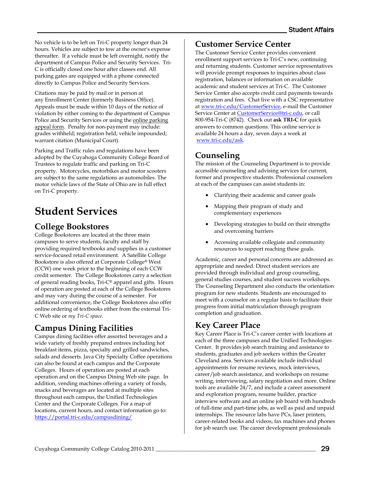No vehicle is to be left on Tri-C property longer than 24 hours. Vehicles are subject to tow at the owner's expense thereafter. If a vehicle must be left overnight, notify the department of Campus Police and Security Services. Tri-C is officially closed one hour after classes end. All parking gates are equipped with a phone connected directly to Campus Police and Security Services.

Citations may be paid by mail or in person at any Enrollment Center (formerly Business Office). Appeals must be made within 10 days of the notice of violation by either coming to the department of Campus Police and Security Services or using the [online parking](http://www.tri-c.edu/campuspolice/Pages/ParkingAppeals.aspx)  [appeal form.](http://www.tri-c.edu/campuspolice/Pages/ParkingAppeals.aspx) Penalty for non-payment may include: grades withheld; registration held; vehicle impounded; warrant citation (Municipal Court).

Parking and Traffic rules and regulations have been adopted by the Cuyahoga Community College Board of Trustees to regulate traffic and parking on Tri-C property. Motorcycles, motorbikes and motor scooters are subject to the same regulations as automobiles. The motor vehicle laws of the State of Ohio are in full effect on Tri-C property.

# <span id="page-28-0"></span>**Student Services**

### <span id="page-28-1"></span>**College Bookstores**

College Bookstores are located at the three main campuses to serve students, faculty and staff by providing required textbooks and supplies in a customer service-focused retail environment. A Satellite College Bookstore is also offered at Corporate College® West (CCW) one week prior to the beginning of each CCW credit semester. The College Bookstores carry a selection of general reading books, Tri-C® apparel and gifts. Hours of operation are posted at each of the College Bookstores and may vary during the course of a semester. For additional convenience, the College Bookstores also offer online ordering of textbooks either from the external Tri-C Web site or *my Tri-C space*.

# <span id="page-28-2"></span>**Campus Dining Facilities**

Campus dining facilities offer assorted beverages and a wide variety of freshly prepared entrees including hot breakfast items, pizza, specialty and grilled sandwiches, salads and desserts. Java City Specialty Coffee operations can also be found at each campus and the Corporate Colleges. Hours of operation are posted at each operation and on the Campus Dining Web site page. In addition, vending machines offering a variety of foods, snacks and beverages are located at multiple sites throughout each campus, the Unified Technologies Center and the Corporate Colleges. For a map of locations, current hours, and contact information go to: <https://portal.tri-c.edu/campusdining/>

### <span id="page-28-3"></span>**Customer Service Center**

<span id="page-28-4"></span>The Customer Service Center provides convenient enrollment support services to Tri-C's new, continuing and returning students. Customer service representatives will provide prompt responses to inquiries about class registration, balances or information on available academic and student services at Tri-C. The Customer Service Center also accepts credit card payments towards registration and fees. Chat live with a CSC representative a[t www.tri-c.edu/CustomerService,](http://www.tri-c.edu/CustomerService) e-mail the Customer Service Center a[t CustomerService@tri-c.edu,](mailto:CustomerService@tri-c.edu) or call 800-954-Tri-C (8742). Check out **ask TRI-C** for quick answers to common questions. This online service is available 24 hours a day, seven days a week at [www.tri-c.edu/ask.](http://www.tri-c.edu/ask) 

## **Counseling**

The mission of the Counseling Department is to provide accessible counseling and advising services for current, former and prospective students. Professional counselors at each of the campuses can assist students in:

- Clarifying their academic and career goals
- Mapping their program of study and complementary experiences
- Developing strategies to build on their strengths and overcoming barriers
- Accessing available collegiate and community resources to support reaching these goals.

Academic, career and personal concerns are addressed as appropriate and needed. Direct student services are provided through individual and group counseling, general studies courses, and student success workshops. The Counseling Department also conducts the orientation program for new students. Students are encouraged to meet with a counselor on a regular basis to facilitate their progress from initial matriculation through program completion and graduation.

## <span id="page-28-5"></span>**Key Career Place**

Key Career Place is Tri-C's career center with locations at each of the three campuses and the Unified Technologies Center. It provides job search training and assistance to students, graduates and job seekers within the Greater Cleveland area. Services available include individual appointments for resume reviews, mock interviews, career/job search assistance, and workshops on resume writing, interviewing, salary negotiation and more. Online tools are available 24/7, and include a career assessment and exploration program, resume builder, practice interview software and an online job board with hundreds of full-time and part-time jobs, as well as paid and unpaid internships. The resource labs have PCs, laser printers, career-related books and videos, fax machines and phones for job search use. The career development professionals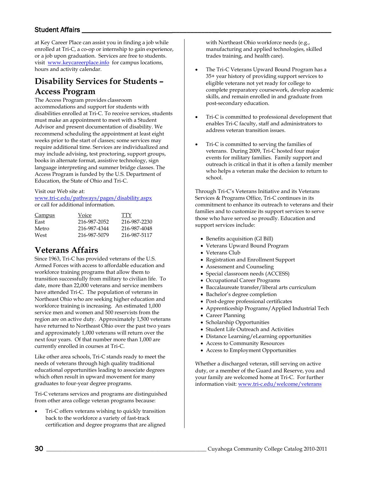#### Student Affairs

at Key Career Place can assist you in finding a job while enrolled at Tri-C, a co-op or internship to gain experience, or a job upon graduation. Services are free to students. visit [www.keycareerplace.info](http://www.keycareerplace.info/) for campus locations, hours and activity calendar.

# <span id="page-29-0"></span>**Disability Services for Students – Access Program**

The Access Program provides classroom accommodations and support for students with disabilities enrolled at Tri-C. To receive services, students must make an appointment to meet with a Student Advisor and present documentation of disability. We recommend scheduling the appointment at least eight weeks prior to the start of classes; some services may require additional time. Services are individualized and may include advising, test proctoring, support groups, books in alternate format, assistive technology, sign language interpreting and summer bridge classes. The Access Program is funded by the U.S. Department of Education, the State of Ohio and Tri-C.

#### Visit our Web site at:

[www.tri-c.edu/pathways/pages/disability.aspx](http://www.tri-c.edu/pathways/pages/disability.aspx)  or call for additional information.

| Campus | Voice        | TTY          |
|--------|--------------|--------------|
| East   | 216-987-2052 | 216-987-2230 |
| Metro  | 216-987-4344 | 216-987-4048 |
| West   | 216-987-5079 | 216-987-5117 |

### <span id="page-29-1"></span>**Veterans Affairs**

Since 1963, Tri-C has provided veterans of the U.S. Armed Forces with access to affordable education and workforce training programs that allow them to transition successfully from military to civilian life. To date, more than 22,000 veterans and service members have attended Tri-C. The population of veterans in Northeast Ohio who are seeking higher education and workforce training is increasing. An estimated 1,000 service men and women and 500 reservists from the region are on active duty. Approximately 1,500 veterans have returned to Northeast Ohio over the past two years and approximately 1,000 veterans will return over the next four years. Of that number more than 1,000 are currently enrolled in courses at Tri-C.

Like other area schools, Tri-C stands ready to meet the needs of veterans through high quality traditional educational opportunities leading to associate degrees which often result in upward movement for many graduates to four-year degree programs.

Tri-C veterans services and programs are distinguished from other area college veteran programs because:

• Tri-C offers veterans wishing to quickly transition back to the workforce a variety of fast-track certification and degree programs that are aligned with Northeast Ohio workforce needs (e.g., manufacturing and applied technologies, skilled trades training, and health care).

- The Tri-C Veterans Upward Bound Program has a 35+ year history of providing support services to eligible veterans not yet ready for college to complete preparatory coursework, develop academic skills, and remain enrolled in and graduate from post-secondary education.
- Tri-C is committed to professional development that enables Tri-C faculty, staff and administrators to address veteran transition issues.
- Tri-C is committed to serving the families of veterans. During 2009, Tri-C hosted four major events for military families. Family support and outreach is critical in that it is often a family member who helps a veteran make the decision to return to school.

Through Tri-C's Veterans Initiative and its Veterans Services & Programs Office, Tri-C continues in its commitment to enhance its outreach to veterans and their families and to customize its support services to serve those who have served so proudly. Education and support services include:

- Benefits acquisition (GI Bill)
- Veterans Upward Bound Program
- Veterans Club
- Registration and Enrollment Support
- Assessment and Counseling
- Special classroom needs (ACCESS)
- Occupational Career Programs
- Baccalaureate transfer/liberal arts curriculum
- Bachelor's degree completion
- Post-degree professional certificates
- Apprenticeship Programs/Applied Industrial Tech
- Career Planning
- Scholarship Opportunities
- Student Life Outreach and Activities
- Distance Learning/eLearning opportunities
- Access to Community Resources
- Access to Employment Opportunities

Whether a discharged veteran, still serving on active duty, or a member of the Guard and Reserve, you and your family are welcomed home at Tri-C. For further information visit[: www.tri-c.edu/welcome/veterans](http://www.tri-c.edu/welcome/veterans)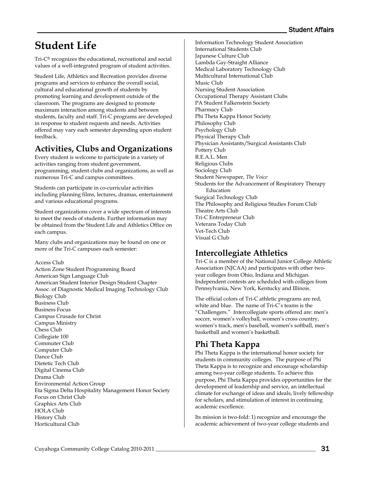# <span id="page-30-0"></span>**Student Life**

Tri-C® recognizes the educational, recreational and social values of a well-integrated program of student activities.

Student Life, Athletics and Recreation provides diverse programs and services to enhance the overall social, cultural and educational growth of students by promoting learning and development outside of the classroom. The programs are designed to promote maximum interaction among students and between students, faculty and staff. Tri-C programs are developed in response to student requests and needs. Activities offered may vary each semester depending upon student feedback.

# <span id="page-30-1"></span>**Activities, Clubs and Organizations**

Every student is welcome to participate in a variety of activities ranging from student government, programming, student clubs and organizations, as well as numerous Tri-C and campus committees.

Students can participate in co-curricular activities including planning films, lectures, dramas, entertainment and various educational programs.

Student organizations cover a wide spectrum of interests to meet the needs of students. Further information may be obtained from the Student Life and Athletics Office on each campus.

Many clubs and organizations may be found on one or more of the Tri-C campuses each semester:

Access Club

Action Zone Student Programming Board American Sign Language Club American Student Interior Design Student Chapter Assoc. of Diagnostic Medical Imaging Technology Club Biology Club Business Club Business Focus Campus Crusade for Christ Campus Ministry Chess Club Collegiate 100 Commuter Club Computer Club Dance Club Dietetic Tech Club Digital Cinema Club Drama Club Environmental Action Group Eta Sigma Delta Hospitality Management Honor Society Focus on Christ Club Graphics Arts Club HOLA Club History Club Horticultural Club

Information Technology Student Association International Students Club Japanese Culture Club Lambda Gay-Straight Alliance Medical Laboratory Technology Club Multicultural International Club Music Club Nursing Student Association Occupational Therapy Assistant Clubs PA Student Falkenstein Society Pharmacy Club Phi Theta Kappa Honor Society Philosophy Club Psychology Club Physical Therapy Club Physician Assistants/Surgical Assistants Club Pottery Club R.E.A.L. Men Religious Clubs Sociology Club Student Newspaper, *The Voice* Students for the Advancement of Respiratory Therapy Education Surgical Technology Club The Philosophy and Religious Studies Forum Club Theatre Arts Club Tri-C Entrepreneur Club Veterans Today Club Vet-Tech Club Visual G Club

# <span id="page-30-2"></span>**Intercollegiate Athletics**

Tri-C is a member of the National Junior College Athletic Association (NJCAA) and participates with other twoyear colleges from Ohio, Indiana and Michigan. Independent contests are scheduled with colleges from Pennsylvania, New York, Kentucky and Illinois.

The official colors of Tri-C athletic programs are red, white and blue. The name of Tri-C's teams is the "Challengers." Intercollegiate sports offered are: men's soccer, women's volleyball, women's cross country, women's track, men's baseball, women's softball, men's basketball and women's basketball.

## <span id="page-30-3"></span>**Phi Theta Kappa**

Phi Theta Kappa is the international honor society for students in community colleges. The purpose of Phi Theta Kappa is to recognize and encourage scholarship among two-year college students. To achieve this purpose, Phi Theta Kappa provides opportunities for the development of leadership and service, an intellectual climate for exchange of ideas and ideals, lively fellowship for scholars, and stimulation of interest in continuing academic excellence.

Its mission is two-fold: 1) recognize and encourage the academic achievement of two-year college students and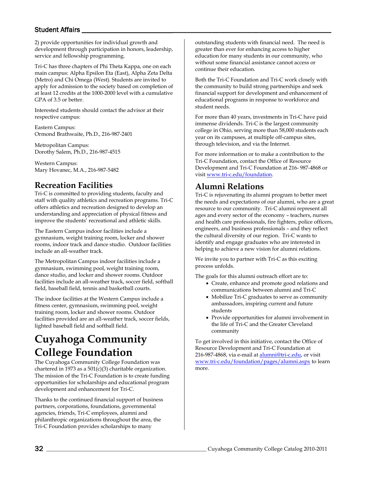#### Student Affairs

2) provide opportunities for individual growth and development through participation in honors, leadership, service and fellowship programming.

Tri-C has three chapters of Phi Theta Kappa, one on each main campus: Alpha Epsilon Eta (East), Alpha Zeta Delta (Metro) and Chi Omega (West). Students are invited to apply for admission to the society based on completion of at least 12 credits at the 1000-2000 level with a cumulative GPA of 3.5 or better.

Interested students should contact the advisor at their respective campus:

Eastern Campus: Ormond Brathwaite, Ph.D., 216-987-2401

Metropolitan Campus: Dorothy Salem, Ph.D., 216-987-4515

Western Campus: Mary Hovanec, M.A., 216-987-5482

### <span id="page-31-0"></span>**Recreation Facilities**

Tri-C is committed to providing students, faculty and staff with quality athletics and recreation programs. Tri-C offers athletics and recreation designed to develop an understanding and appreciation of physical fitness and improve the students' recreational and athletic skills.

The Eastern Campus indoor facilities include a gymnasium, weight training room, locker and shower rooms, indoor track and dance studio. Outdoor facilities include an all-weather track.

The Metropolitan Campus indoor facilities include a gymnasium, swimming pool, weight training room, dance studio, and locker and shower rooms. Outdoor facilities include an all-weather track, soccer field, softball field, baseball field, tennis and basketball courts.

The indoor facilities at the Western Campus include a fitness center, gymnasium, swimming pool, weight training room, locker and shower rooms. Outdoor facilities provided are an all-weather track, soccer fields, lighted baseball field and softball field.

# <span id="page-31-1"></span>**Cuyahoga Community College Foundation**

The Cuyahoga Community College Foundation was chartered in 1973 as a 501(c)(3) charitable organization. The mission of the Tri-C Foundation is to create funding opportunities for scholarships and educational program development and enhancement for Tri-C.

Thanks to the continued financial support of business partners, corporations, foundations, governmental agencies, friends, Tri-C employees, alumni and philanthropic organizations throughout the area, the Tri-C Foundation provides scholarships to many

outstanding students with financial need. The need is greater than ever for enhancing access to higher education for many students in our community, who without some financial assistance cannot access or continue their education.

Both the Tri-C Foundation and Tri-C work closely with the community to build strong partnerships and seek financial support for development and enhancement of educational programs in response to workforce and student needs.

For more than 40 years, investments in Tri-C have paid immense dividends. Tri-C is the largest community college in Ohio, serving more than 58,000 students each year on its campuses, at multiple off-campus sites, through television, and via the Internet.

For more information or to make a contribution to the Tri-C Foundation, contact the Office of Resource Development and Tri-C Foundation at 216- 987-4868 or visit [www.tri-c.edu/foundation.](http://www.tri-c.edu/foundation)

## <span id="page-31-2"></span>**Alumni Relations**

Tri-C is rejuvenating its alumni program to better meet the needs and expectations of our alumni, who are a great resource to our community. Tri-C alumni represent all ages and every sector of the economy – teachers, nurses and health care professionals, fire fighters, police officers, engineers, and business professionals – and they reflect the cultural diversity of our region. Tri-C wants to identify and engage graduates who are interested in helping to achieve a new vision for alumni relations.

We invite you to partner with Tri-C as this exciting process unfolds.

The goals for this alumni outreach effort are to:

- Create, enhance and promote good relations and communications between alumni and Tri-C
- Mobilize Tri-C graduates to serve as community ambassadors, inspiring current and future students
- Provide opportunities for alumni involvement in the life of Tri-C and the Greater Cleveland community

To get involved in this initiative, contact the Office of Resource Development and Tri-C Foundation at 216-987-4868, via e-mail at [alumni@tri-c.edu,](mailto:alumni@tri-c.edu) or visit [www.tri-c.edu/foundation/pages/alumni.aspx](http://www.tri-c.edu/foundation/pages/alumni.aspx) to learn more.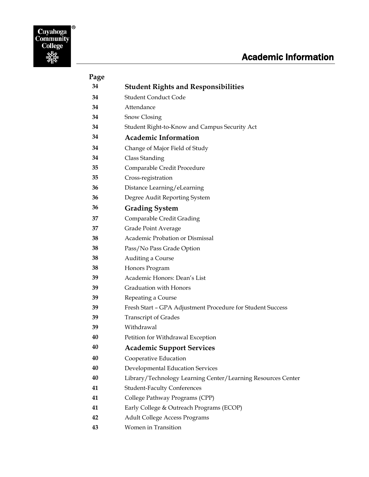# Academic Information

<span id="page-32-0"></span>

| Page |                                                              |
|------|--------------------------------------------------------------|
| 34   | <b>Student Rights and Responsibilities</b>                   |
| 34   | <b>Student Conduct Code</b>                                  |
| 34   | Attendance                                                   |
| 34   | Snow Closing                                                 |
| 34   | Student Right-to-Know and Campus Security Act                |
| 34   | <b>Academic Information</b>                                  |
| 34   | Change of Major Field of Study                               |
| 34   | Class Standing                                               |
| 35   | Comparable Credit Procedure                                  |
| 35   | Cross-registration                                           |
| 36   | Distance Learning/eLearning                                  |
| 36   | Degree Audit Reporting System                                |
| 36   | <b>Grading System</b>                                        |
| 37   | Comparable Credit Grading                                    |
| 37   | Grade Point Average                                          |
| 38   | Academic Probation or Dismissal                              |
| 38   | Pass/No Pass Grade Option                                    |
| 38   | Auditing a Course                                            |
| 38   | Honors Program                                               |
| 39   | Academic Honors: Dean's List                                 |
| 39   | Graduation with Honors                                       |
| 39   | Repeating a Course                                           |
| 39   | Fresh Start - GPA Adjustment Procedure for Student Success   |
| 39   | <b>Transcript of Grades</b>                                  |
| 39   | Withdrawal                                                   |
| 40   | Petition for Withdrawal Exception                            |
| 40   | <b>Academic Support Services</b>                             |
| 40   | Cooperative Education                                        |
| 40   | Developmental Education Services                             |
| 40   | Library/Technology Learning Center/Learning Resources Center |
| 41   | <b>Student-Faculty Conferences</b>                           |
| 41   | College Pathway Programs (CPP)                               |
| 41   | Early College & Outreach Programs (ECOP)                     |
| 42   | <b>Adult College Access Programs</b>                         |
| 43   | Women in Transition                                          |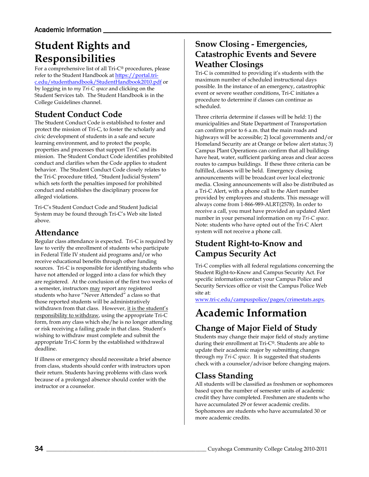# <span id="page-33-0"></span>**Student Rights and Responsibilities**

For a comprehensive list of all Tri-C® procedures, please refer to the Student Handbook at [https://portal.tri](https://portal.tri-c.edu/studenthandbook/StudentHandbook2010.pdf)[c.edu/studenthandbook/StudentHandbook2010.pdf](https://portal.tri-c.edu/studenthandbook/StudentHandbook2010.pdf) or by logging in to *my Tri-C space* and clicking on the Student Services tab. The Student Handbook is in the College Guidelines channel.

# <span id="page-33-1"></span>**Student Conduct Code**

The Student Conduct Code is established to foster and protect the mission of Tri-C, to foster the scholarly and civic development of students in a safe and secure learning environment, and to protect the people, properties and processes that support Tri-C and its mission. The Student Conduct Code identifies prohibited conduct and clarifies when the Code applies to student behavior. The Student Conduct Code closely relates to the Tri-C procedure titled, "Student Judicial System" which sets forth the penalties imposed for prohibited conduct and establishes the disciplinary process for alleged violations.

Tri-C's Student Conduct Code and Student Judicial System may be found through Tri-C's Web site listed above.

## <span id="page-33-2"></span>**Attendance**

Regular class attendance is expected. Tri-C is required by law to verify the enrollment of students who participate in Federal Title IV student aid programs and/or who receive educational benefits through other funding sources. Tri-C is responsible for identifying students who have not attended or logged into a class for which they are registered. At the conclusion of the first two weeks of a semester, instructors may report any registered students who have "Never Attended" a class so that those reported students will be administratively withdrawn from that class. However, it is the student's responsibility to withdraw, using the appropriate Tri-C form, from any class which she/he is no longer attending or risk receiving a failing grade in that class. Student's wishing to withdraw must complete and submit the appropriate Tri-C form by the established withdrawal deadline.

If illness or emergency should necessitate a brief absence from class, students should confer with instructors upon their return. Students having problems with class work because of a prolonged absence should confer with the instructor or a counselor.

## <span id="page-33-3"></span>**Snow Closing - Emergencies, Catastrophic Events and Severe Weather Closings**

Tri-C is committed to providing it's students with the maximum number of scheduled instructional days possible. In the instance of an emergency, catastrophic event or severe weather conditions, Tri-C initiates a procedure to determine if classes can continue as scheduled.

Three criteria determine if classes will be held: 1) the municipalities and State Department of Transportation can confirm prior to 6 a.m. that the main roads and highways will be accessible; 2) local governments and/or Homeland Security are at Orange or below alert status; 3) Campus Plant Operations can confirm that all buildings have heat, water, sufficient parking areas and clear access routes to campus buildings. If these three criteria can be fulfilled, classes will be held. Emergency closing announcements will be broadcast over local electronic media. Closing announcements will also be distributed as a Tri-C Alert, with a phone call to the Alert number provided by employees and students. This message will always come from 1-866-989-ALRT(2578). In order to receive a call, you must have provided an updated Alert number in your personal information on *my Tri-C space*. Note: students who have opted out of the Tri-C Alert system will not receive a phone call.

# <span id="page-33-4"></span>**Student Right-to-Know and Campus Security Act**

Tri-C complies with all federal regulations concerning the Student Right-to-Know and Campus Security Act. For specific information contact your Campus Police and Security Services office or visit the Campus Police Web site at:

[www.tri-c.edu/campuspolice/pages/crimestats.aspx.](http://www.tri-c.edu/campuspolice/pages/crimestats.aspx)

# **Academic Information**

# <span id="page-33-5"></span>**Change of Major Field of Study**

Students may change their major field of study anytime during their enrollment at Tri-C®. Students are able to update their academic major by submitting changes through *my Tri-C space*. It is suggested that students check with a counselor/advisor before changing majors.

## <span id="page-33-6"></span>**Class Standing**

All students will be classified as freshmen or sophomores based upon the number of semester units of academic credit they have completed. Freshmen are students who have accumulated 29 or fewer academic credits. Sophomores are students who have accumulated 30 or more academic credits.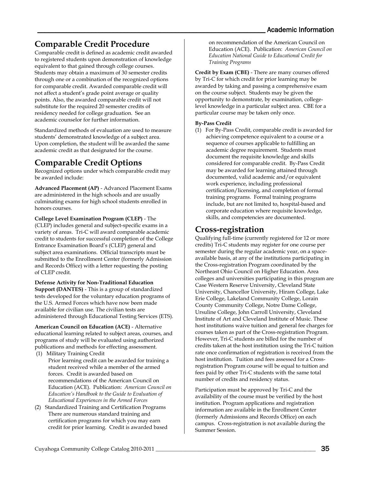# <span id="page-34-0"></span>**Comparable Credit Procedure**

Comparable credit is defined as academic credit awarded to registered students upon demonstration of knowledge equivalent to that gained through college courses. Students may obtain a maximum of 30 semester credits through one or a combination of the recognized options for comparable credit. Awarded comparable credit will not affect a student's grade point average or quality points. Also, the awarded comparable credit will not substitute for the required 20 semester credits of residency needed for college graduation. See an academic counselor for further information.

Standardized methods of evaluation are used to measure students' demonstrated knowledge of a subject area. Upon completion, the student will be awarded the same academic credit as that designated for the course.

# <span id="page-34-1"></span>**Comparable Credit Options**

Recognized options under which comparable credit may be awarded include:

**Advanced Placement (AP)** - Advanced Placement Exams are administered in the high schools and are usually culminating exams for high school students enrolled in honors courses.

**College Level Examination Program (CLEP)** - The (CLEP) includes general and subject-specific exams in a variety of areas. Tri-C will award comparable academic credit to students for successful completion of the College Entrance Examination Board's (CLEP) general and subject area examinations. Official transcripts must be submitted to the Enrollment Center (formerly Admission and Records Office) with a letter requesting the posting of CLEP credit.

**Defense Activity for Non-Traditional Education Support (DANTES)** - This is a group of standardized tests developed for the voluntary education programs of the U.S. Armed Forces which have now been made available for civilian use. The civilian tests are administered through Educational Testing Services (ETS).

**American Council on Education (ACE)** - Alternative educational learning related to subject areas, courses, and programs of study will be evaluated using authorized publications and methods for effecting assessment.

- (1) Military Training Credit
	- Prior learning credit can be awarded for training a student received while a member of the armed forces. Credit is awarded based on recommendations of the American Council on Education (ACE). Publication: *American Council on Education's Handbook to the Guide to Evaluation of Educational Experiences in the Armed Forces*
- (2) Standardized Training and Certification Programs There are numerous standard training and certification programs for which you may earn credit for prior learning. Credit is awarded based

on recommendation of the American Council on Education (ACE). Publication: *American Council on Education National Guide to Educational Credit for Training Programs*

**Credit by Exam (CBE)** - There are many courses offered by Tri-C for which credit for prior learning may be awarded by taking and passing a comprehensive exam on the course subject. Students may be given the opportunity to demonstrate, by examination, collegelevel knowledge in a particular subject area. CBE for a particular course may be taken only once.

#### **By-Pass Credit**

(1) For By-Pass Credit, comparable credit is awarded for achieving competence equivalent to a course or a sequence of courses applicable to fulfilling an academic degree requirement. Students must document the requisite knowledge and skills considered for comparable credit. By-Pass Credit may be awarded for learning attained through documented, valid academic and/or equivalent work experience, including professional certification/licensing, and completion of formal training programs. Formal training programs include, but are not limited to, hospital-based and corporate education where requisite knowledge, skills, and competencies are documented.

### <span id="page-34-2"></span>**Cross-registration**

Qualifying full-time (currently registered for 12 or more credits) Tri-C students may register for one course per semester during the regular academic year, on a spaceavailable basis, at any of the institutions participating in the Cross-registration Program coordinated by the Northeast Ohio Council on Higher Education. Area colleges and universities participating in this program are Case Western Reserve University, Cleveland State University, Chancellor University, Hiram College, Lake Erie College, Lakeland Community College, Lorain County Community College, Notre Dame College, Ursuline College, John Carroll University, Cleveland Institute of Art and Cleveland Institute of Music. These host institutions waive tuition and general fee charges for courses taken as part of the Cross-registration Program. However, Tri-C students are billed for the number of credits taken at the host institution using the Tri-C tuition rate once confirmation of registration is received from the host institution. Tuition and fees assessed for a Crossregistration Program course will be equal to tuition and fees paid by other Tri-C students with the same total number of credits and residency status.

Participation must be approved by Tri-C and the availability of the course must be verified by the host institution. Program applications and registration information are available in the Enrollment Center (formerly Admissions and Records Office) on each campus. Cross-registration is not available during the Summer Session.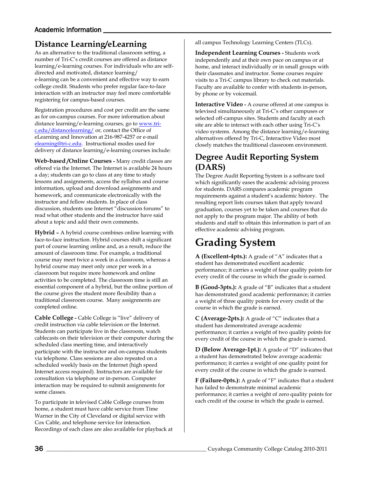#### Academic Information

# <span id="page-35-0"></span>**Distance Learning/eLearning**

As an alternative to the traditional classroom setting, a number of Tri-C's credit courses are offered as distance learning/e-learning courses. For individuals who are selfdirected and motivated, distance learning/ e-learning can be a convenient and effective way to earn college credit. Students who prefer regular face-to-face interaction with an instructor may feel more comfortable registering for campus-based courses.

Registration procedures and cost per credit are the same as for on-campus courses. For more information about distance learning/e-learning courses, go t[o www.tri](http://www.tri-c.edu/distancelearning/)[c.edu/distancelearning/](http://www.tri-c.edu/distancelearning/) or, contact the Office of eLearning and Innovation at 216-987-4257 or e-mail [elearning@tri-c.edu.](mailto:elearning@tri-c.edu) Instructional modes used for delivery of distance learning/e-learning courses include:

**Web-based /Online Courses -** Many credit classes are offered via the Internet. The Internet is available 24 hours a day; students can go to class at any time to study lessons and assignments, access the syllabus and course information, upload and download assignments and homework, and communicate electronically with the instructor and fellow students. In place of class discussion, students use Internet "discussion forums" to read what other students and the instructor have said about a topic and add their own comments.

**Hybrid –** A hybrid course combines online learning with face-to-face instruction. Hybrid courses shift a significant part of course learning online and, as a result, reduce the amount of classroom time. For example, a traditional course may meet twice a week in a classroom, whereas a hybrid course may meet only once per week in a classroom but require more homework and online activities to be completed. The classroom time is still an essential component of a hybrid, but the online portion of the course gives the student more flexibility than a traditional classroom course. Many assignments are completed online.

**Cable College -** Cable College is "live" delivery of credit instruction via cable television or the Internet. Students can participate live in the classroom, watch cablecasts on their television or their computer during the scheduled class meeting time, and interactively participate with the instructor and on-campus students via telephone. Class sessions are also repeated on a scheduled weekly basis on the Internet (high speed Internet access required). Instructors are available for consultation via telephone or in-person. Computer interaction may be required to submit assignments for some classes.

To participate in televised Cable College courses from home, a student must have cable service from Time Warner in the City of Cleveland or digital service with Cox Cable, and telephone service for interaction. Recordings of each class are also available for playback at all campus Technology Learning Centers (TLCs).

**Independent Learning Courses -** Students work independently and at their own pace on campus or at home, and interact individually or in small groups with their classmates and instructor. Some courses require visits to a Tri-C campus library to check out materials. Faculty are available to confer with students in-person, by phone or by voicemail.

**Interactive Video -** A course offered at one campus is televised simultaneously at Tri-C's other campuses or selected off-campus sites. Students and faculty at each site are able to interact with each other using Tri-C's video systems. Among the distance learning/e-learning alternatives offered by Tri-C, Interactive Video most closely matches the traditional classroom environment.

### <span id="page-35-1"></span>**Degree Audit Reporting System (DARS)**

The Degree Audit Reporting System is a software tool which significantly eases the academic advising process for students. DARS compares academic program requirements against a student's academic history. The resulting report lists courses taken that apply toward graduation, courses yet to be taken and courses that do not apply to the program major. The ability of both students and staff to obtain this information is part of an effective academic advising program.

# <span id="page-35-2"></span>**Grading System**

**A (Excellent-4pts.):** A grade of "A" indicates that a student has demonstrated excellent academic performance; it carries a weight of four quality points for every credit of the course in which the grade is earned.

**B (Good-3pts.):** A grade of "B" indicates that a student has demonstrated good academic performance; it carries a weight of three quality points for every credit of the course in which the grade is earned.

**C (Average-2pts.):** A grade of "C" indicates that a student has demonstrated average academic performance; it carries a weight of two quality points for every credit of the course in which the grade is earned.

**D (Below Average-1pt.):** A grade of "D" indicates that a student has demonstrated below average academic performance; it carries a weight of one quality point for every credit of the course in which the grade is earned.

**F (Failure-0pts.):** A grade of "F" indicates that a student has failed to demonstrate minimal academic performance; it carries a weight of zero quality points for each credit of the course in which the grade is earned.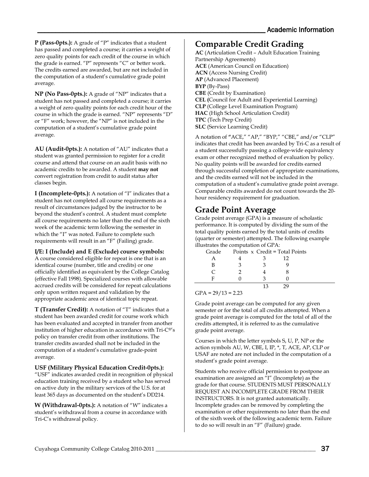**P (Pass-0pts.):** A grade of "P" indicates that a student has passed and completed a course; it carries a weight of zero quality points for each credit of the course in which the grade is earned. "P" represents "C" or better work. The credits earned are awarded, but are not included in the computation of a student's cumulative grade point average.

**NP (No Pass-0pts.):** A grade of "NP" indicates that a student has not passed and completed a course; it carries a weight of zero quality points for each credit hour of the course in which the grade is earned. "NP" represents "D" or "F" work; however, the "NP" is not included in the computation of a student's cumulative grade point average.

**AU (Audit-0pts.):** A notation of "AU" indicates that a student was granted permission to register for a credit course and attend that course on an audit basis with no academic credits to be awarded. A student **may not**  convert registration from credit to audit status after classes begin.

**I (Incomplete-0pts.):** A notation of "I" indicates that a student has not completed all course requirements as a result of circumstances judged by the instructor to be beyond the student's control. A student must complete all course requirements no later than the end of the sixth week of the academic term following the semester in which the "I" was noted. Failure to complete such requirements will result in an "F" (Failing) grade.

#### **I/E: I (Include) and E (Exclude) course symbols:**

A course considered eligible for repeat is one that is an identical course (number, title and credits) or one officially identified as equivalent by the College Catalog (effective Fall 1998). Specialized courses with allowable accrued credits will be considered for repeat calculations only upon written request and validation by the appropriate academic area of identical topic repeat.

**T (Transfer Credit):** A notation of "T" indicates that a student has been awarded credit for course work which has been evaluated and accepted in transfer from another institution of higher education in accordance with Tri-C®'s policy on transfer credit from other institutions. The transfer credits awarded shall not be included in the computation of a student's cumulative grade-point average.

#### **USF (Military Physical Education Credit-0pts.):**

"USF" indicates awarded credit in recognition of physical education training received by a student who has served on active duty in the military services of the U.S. for at least 365 days as documented on the student's DD214.

**W (Withdrawal-0pts.):** A notation of "W" indicates a student's withdrawal from a course in accordance with Tri-C's withdrawal policy.

### <span id="page-36-0"></span>**Comparable Credit Grading**

**AC** (Articulation Credit – Adult Education Training Partnership Agreements) **ACE** (American Council on Education) **ACN** (Access Nursing Credit) **AP** (Advanced Placement) **BYP** (By-Pass) **CBE** (Credit by Examination) **CEL (**Council for Adult and Experiential Learning) **CLP** (College Level Examination Program) **HAC** (High School Articulation Credit) **TPC** (Tech Prep Credit) **SLC** (Service Learning Credit)

A notation of **"**ACE," "AP," "BYP," "CBE," and/or "CLP" indicates that credit has been awarded by Tri-C as a result of a student successfully passing a college-wide equivalency exam or other recognized method of evaluation by policy. No quality points will be awarded for credits earned through successful completion of appropriate examinations, and the credits earned will not be included in the computation of a student's cumulative grade point average. Comparable credits awarded do not count towards the 20 hour residency requirement for graduation.

### <span id="page-36-1"></span>**Grade Point Average**

Grade point average (GPA) is a measure of scholastic performance. It is computed by dividing the sum of the total quality points earned by the total units of credits (quarter or semester) attempted. The following example illustrates the computation of GPA:

| Grade | Points $x$ Credit = Total Points |              |  |
|-------|----------------------------------|--------------|--|
|       |                                  | $12^{\circ}$ |  |
| в     |                                  |              |  |
|       |                                  |              |  |
|       |                                  |              |  |
|       |                                  |              |  |

#### $GPA = 29/13 = 2.23$

Grade point average can be computed for any given semester or for the total of all credits attempted. When a grade point average is computed for the total of all of the credits attempted, it is referred to as the cumulative grade point average.

Courses in which the letter symbols S, U, P, NP or the action symbols AU, W, CBE, I, IP, \*, T, ACE, AP, CLP or USAF are noted are not included in the computation of a student's grade point average.

Students who receive official permission to postpone an examination are assigned an "I" (Incomplete) as the grade for that course. STUDENTS MUST PERSONALLY REQUEST AN INCOMPLETE GRADE FROM THEIR INSTRUCTORS. It is not granted automatically. Incomplete grades can be removed by completing the examination or other requirements no later than the end of the sixth week of the following academic term. Failure to do so will result in an "F" (Failure) grade.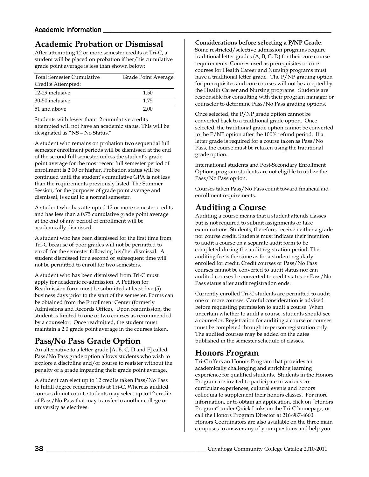# <span id="page-37-0"></span>**Academic Probation or Dismissal**

After attempting 12 or more semester credits at Tri-C, a student will be placed on probation if her/his cumulative grade point average is less than shown below:

| <b>Total Semester Cumulative</b> | Grade Point Average |  |
|----------------------------------|---------------------|--|
| Credits Attempted:               |                     |  |
| 12-29 inclusive                  | 1.50                |  |
| 30-50 inclusive                  | 1.75                |  |
| 51 and above                     | 2.00                |  |

Students with fewer than 12 cumulative credits attempted will not have an academic status. This will be designated as "NS – No Status."

A student who remains on probation two sequential full semester enrollment periods will be dismissed at the end of the second full semester unless the student's grade point average for the most recent full semester period of enrollment is 2.00 or higher**.** Probation status will be continued until the student's cumulative GPA is not less than the requirements previously listed. The Summer Session, for the purposes of grade point average and dismissal, is equal to a normal semester.

A student who has attempted 12 or more semester credits and has less than a 0.75 cumulative grade point average at the end of any period of enrollment will be academically dismissed.

A student who has been dismissed for the first time from Tri-C because of poor grades will not be permitted to enroll for the semester following his/her dismissal. A student dismissed for a second or subsequent time will not be permitted to enroll for two semesters.

A student who has been dismissed from Tri-C must apply for academic re-admission. A Petition for Readmission form must be submitted at least five (5) business days prior to the start of the semester. Forms can be obtained from the Enrollment Center (formerly Admissions and Records Office). Upon readmission, the student is limited to one or two courses as recommended by a counselor. Once readmitted, the student must maintain a 2.0 grade point average in the courses taken.

# <span id="page-37-1"></span>**Pass/No Pass Grade Option**

An alternative to a letter grade [A, B, C, D and F] called Pass/No Pass grade option allows students who wish to explore a discipline and/or course to register without the penalty of a grade impacting their grade point average.

A student can elect up to 12 credits taken Pass/No Pass to fulfill degree requirements at Tri-C. Whereas audited courses do not count, students may select up to 12 credits of Pass/No Pass that may transfer to another college or university as electives.

#### **Considerations before selecting a P/NP Grade**:

Some restricted/selective admission programs require traditional letter grades (A, B, C, D) for their core course requirements. Courses used as prerequisites or core courses for Health Career and Nursing programs must have a traditional letter grade. The P/NP grading option for prerequisites and core courses will not be accepted by the Health Career and Nursing programs. Students are responsible for consulting with their program manager or counselor to determine Pass/No Pass grading options.

Once selected, the P/NP grade option cannot be converted back to a traditional grade option. Once selected, the traditional grade option cannot be converted to the P/NP option after the 100% refund period. If a letter grade is required for a course taken as Pass/No Pass, the course must be retaken using the traditional grade option.

International students and Post-Secondary Enrollment Options program students are not eligible to utilize the Pass/No Pass option.

Courses taken Pass/No Pass count toward financial aid enrollment requirements.

### <span id="page-37-2"></span>**Auditing a Course**

Auditing a course means that a student attends classes but is not required to submit assignments or take examinations. Students, therefore, receive neither a grade nor course credit. Students must indicate their intention to audit a course on a separate audit form to be completed during the audit registration period. The auditing fee is the same as for a student regularly enrolled for credit. Credit courses or Pass/No Pass courses cannot be converted to audit status nor can audited courses be converted to credit status or Pass/No Pass status after audit registration ends.

Currently enrolled Tri-C students are permitted to audit one or more courses. Careful consideration is advised before requesting permission to audit a course. When uncertain whether to audit a course, students should see a counselor. Registration for auditing a course or courses must be completed through in-person registration only. The audited courses may be added on the dates published in the semester schedule of classes.

## <span id="page-37-3"></span>**Honors Program**

<span id="page-37-4"></span>Tri-C offers an Honors Program that provides an academically challenging and enriching learning experience for qualified students. Students in the Honors Program are invited to participate in various cocurricular experiences, cultural events and honors colloquia to supplement their honors classes. For more information, or to obtain an application, click on "Honors Program" under Quick Links on the Tri-C homepage, or call the Honors Program Director at 216-987-4660. Honors Coordinators are also available on the three main campuses to answer any of your questions and help you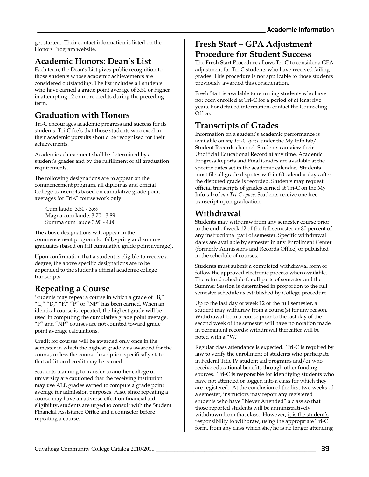get started. Their contact information is listed on the Honors Program website.

### **Academic Honors: Dean's List**

Each term, the Dean's List gives public recognition to those students whose academic achievements are considered outstanding. The list includes all students who have earned a grade point average of 3.50 or higher in attempting 12 or more credits during the preceding term.

## <span id="page-38-0"></span>**Graduation with Honors**

Tri-C encourages academic progress and success for its students. Tri-C feels that those students who excel in their academic pursuits should be recognized for their achievements.

Academic achievement shall be determined by a student's grades and by the fulfillment of all graduation requirements.

The following designations are to appear on the commencement program, all diplomas and official College transcripts based on cumulative grade point averages for Tri-C course work only:

Cum laude: 3.50 - 3.69 Magna cum laude: 3.70 - 3.89 Summa cum laude 3.90 - 4.00

The above designations will appear in the commencement program for fall, spring and summer graduates (based on fall cumulative grade point average).

Upon confirmation that a student is eligible to receive a degree, the above specific designations are to be appended to the student's official academic college transcripts.

## <span id="page-38-1"></span>**Repeating a Course**

Students may repeat a course in which a grade of "B," "C," "D," "F," "P" or "NP" has been earned. When an identical course is repeated, the highest grade will be used in computing the cumulative grade point average. "P" and "NP" courses are not counted toward grade point average calculations.

Credit for courses will be awarded only once in the semester in which the highest grade was awarded for the course, unless the course description specifically states that additional credit may be earned.

Students planning to transfer to another college or university are cautioned that the receiving institution may use ALL grades earned to compute a grade point average for admission purposes. Also, since repeating a course may have an adverse effect on financial aid eligibility, students are urged to consult with the Student Financial Assistance Office and a counselor before repeating a course.

### <span id="page-38-2"></span>**Fresh Start – GPA Adjustment Procedure for Student Success**

The Fresh Start Procedure allows Tri-C to consider a GPA adjustment for Tri-C students who have received failing grades. This procedure is not applicable to those students previously awarded this consideration.

Fresh Start is available to returning students who have not been enrolled at Tri-C for a period of at least five years. For detailed information, contact the Counseling Office.

## <span id="page-38-3"></span>**Transcripts of Grades**

Information on a student's academic performance is available on *my Tri-C space* under the My Info tab/ Student Records channel. Students can view their Unofficial Educational Record at any time. Academic Progress Reports and Final Grades are available at the specific dates set in the academic calendar. Students must file all grade disputes within 60 calendar days after the disputed grade is recorded. Students may request official transcripts of grades earned at Tri-C on the My Info tab of *my Tri-C space*. Students receive one free transcript upon graduation.

## <span id="page-38-4"></span>**Withdrawal**

Students may withdraw from any semester course prior to the end of week 12 of the full semester or 80 percent of any instructional part of semester. Specific withdrawal dates are available by semester in any Enrollment Center (formerly Admissions and Records Office) or published in the schedule of courses.

Students must submit a completed withdrawal form or follow the approved electronic process when available. The refund schedule for all parts of semester and the Summer Session is determined in proportion to the full semester schedule as established by College procedure.

Up to the last day of week 12 of the full semester, a student may withdraw from a course(s) for any reason. Withdrawal from a course prior to the last day of the second week of the semester will have no notation made in permanent records; withdrawal thereafter will be noted with a "W."

Regular class attendance is expected. Tri-C is required by law to verify the enrollment of students who participate in Federal Title IV student aid programs and/or who receive educational benefits through other funding sources. Tri-C is responsible for identifying students who have not attended or logged into a class for which they are registered. At the conclusion of the first two weeks of a semester, instructors may report any registered students who have "Never Attended" a class so that those reported students will be administratively withdrawn from that class. However, it is the student's responsibility to withdraw, using the appropriate Tri-C form, from any class which she/he is no longer attending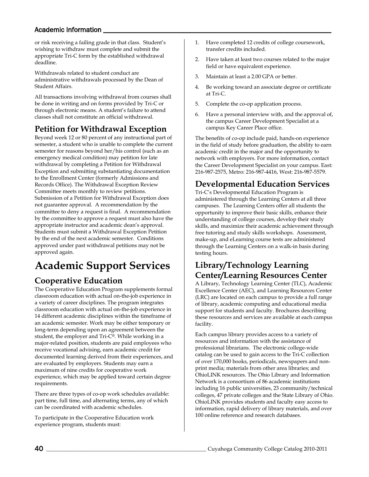### Academic Information

or risk receiving a failing grade in that class. Student's wishing to withdraw must complete and submit the appropriate Tri-C form by the established withdrawal deadline.

Withdrawals related to student conduct are administrative withdrawals processed by the Dean of Student Affairs.

All transactions involving withdrawal from courses shall be done in writing and on forms provided by Tri-C or through electronic means. A student's failure to attend classes shall not constitute an official withdrawal.

# <span id="page-39-0"></span>**Petition for Withdrawal Exception**

Beyond week 12 or 80 percent of any instructional part of semester, a student who is unable to complete the current semester for reasons beyond her/his control (such as an emergency medical condition) may petition for late withdrawal by completing a Petition for Withdrawal Exception and submitting substantiating documentation to the Enrollment Center (formerly Admissions and Records Office). The Withdrawal Exception Review Committee meets monthly to review petitions. Submission of a Petition for Withdrawal Exception does not guarantee approval. A recommendation by the committee to deny a request is final. A recommendation by the committee to approve a request must also have the appropriate instructor and academic dean's approval. Students must submit a Withdrawal Exception Petition by the end of the next academic semester. Conditions approved under past withdrawal petitions may not be approved again.

# <span id="page-39-1"></span>**Academic Support Services**

# <span id="page-39-2"></span>**Cooperative Education**

The Cooperative Education Program supplements formal classroom education with actual on-the-job experience in a variety of career disciplines. The program integrates classroom education with actual on-the-job experience in 14 different academic disciplines within the timeframe of an academic semester. Work may be either temporary or long-term depending upon an agreement between the student, the employer and Tri-C®. While working in a major-related position, students are paid employees who receive vocational advising, earn academic credit for documented learning derived from their experiences, and are evaluated by employers. Students may earn a maximum of nine credits for cooperative work experience, which may be applied toward certain degree requirements.

There are three types of co-op work schedules available: part time, full time, and alternating terms, any of which can be coordinated with academic schedules.

To participate in the Cooperative Education work experience program, students must:

- 1. Have completed 12 credits of college coursework, transfer credits included.
- 2. Have taken at least two courses related to the major field or have equivalent experience.
- 3. Maintain at least a 2.00 GPA or better.
- 4. Be working toward an associate degree or certificate at Tri-C.
- 5. Complete the co-op application process.
- 6. Have a personal interview with, and the approval of, the campus Career Development Specialist at a campus Key Career Place office.

The benefits of co-op include paid, hands-on experience in the field of study before graduation, the ability to earn academic credit in the major and the opportunity to network with employers. For more information, contact the Career Development Specialist on your campus. East: 216-987-2575, Metro: 216-987-4416, West: 216-987-5579.

# <span id="page-39-3"></span>**Developmental Education Services**

Tri-C's Developmental Education Program is administered through the Learning Centers at all three campuses. The Learning Centers offer all students the opportunity to improve their basic skills, enhance their understanding of college courses, develop their study skills, and maximize their academic achievement through free tutoring and study skills workshops. Assessment, make-up, and eLearning course tests are administered through the Learning Centers on a walk-in basis during testing hours.

### <span id="page-39-4"></span>**Library/Technology Learning Center/Learning Resources Center**

A Library, Technology Learning Center (TLC), Academic Excellence Center (AEC), and Learning Resources Center (LRC) are located on each campus to provide a full range of library, academic computing and educational media support for students and faculty. Brochures describing these resources and services are available at each campus facility.

Each campus library provides access to a variety of resources and information with the assistance of professional librarians. The electronic college-wide catalog can be used to gain access to the Tri-C collection of over 170,000 books, periodicals, newspapers and nonprint media; materials from other area libraries; and OhioLINK resources. The Ohio Library and Information Network is a consortium of 86 academic institutions including 16 public universities, 23 community/technical colleges, 47 private colleges and the State Library of Ohio. OhioLINK provides students and faculty easy access to information, rapid delivery of library materials, and over 100 online reference and research databases.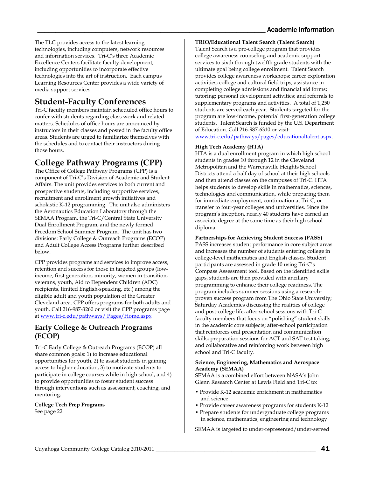The TLC provides access to the latest learning technologies, including computers, network resources and information services. Tri-C's three Academic Excellence Centers facilitate faculty development, including opportunities to incorporate effective technologies into the art of instruction. Each campus Learning Resources Center provides a wide variety of media support services.

## <span id="page-40-0"></span>**Student-Faculty Conferences**

Tri-C faculty members maintain scheduled office hours to confer with students regarding class work and related matters. Schedules of office hours are announced by instructors in their classes and posted in the faculty office areas. Students are urged to familiarize themselves with the schedules and to contact their instructors during those hours.

# <span id="page-40-1"></span>**College Pathway Programs (CPP)**

The Office of College Pathway Programs (CPP) is a component of Tri-C's Division of Academic and Student Affairs. The unit provides services to both current and prospective students, including supportive services, recruitment and enrollment growth initiatives and scholastic K-12 programming. The unit also administers the Aeronautics Education Laboratory through the SEMAA Program, the Tri-C/Central State University Dual Enrollment Program, and the newly formed Freedom School Summer Program. The unit has two divisions: Early College & Outreach Programs (ECOP) and Adult College Access Programs further described below.

CPP provides programs and services to improve access, retention and success for those in targeted groups (lowincome, first generation, minority, women in transition, veterans, youth, Aid to Dependent Children (ADC) recipients, limited English-speaking, etc.) among the eligible adult and youth population of the Greater Cleveland area. CPP offers programs for both adults and youth. Call 216-987-3260 or visit the CPP programs page a[t www.tri-c.edu/pathways/ Pages/Home.aspx](http://www.tri-c.edu/pathways/%20Pages/Home.aspx)

#### <span id="page-40-2"></span>**Early College & Outreach Programs (ECOP)**

Tri-C Early College & Outreach Programs (ECOP) all share common goals: 1) to increase educational opportunities for youth, 2) to assist students in gaining access to higher education, 3) to motivate students to participate in college courses while in high school, and 4) to provide opportunities to foster student success through interventions such as assessment, coaching, and mentoring.

**College Tech Prep Programs** See page 22

<span id="page-40-3"></span>**TRIO/Educational Talent Search (Talent Search)** Talent Search is a pre-college program that provides college awareness counseling and academic support services to sixth through twelfth grade students with the ultimate goal being college enrollment. Talent Search provides college awareness workshops; career exploration activities; college and cultural field trips; assistance in completing college admissions and financial aid forms; tutoring; personal development activities; and referrals to supplementary programs and activities. A total of 1,250 students are served each year. Students targeted for the program are low-income, potential first-generation college students. Talent Search is funded by the U.S. Department of Education. Call 216-987-6310 or visit:

[www.tri-c.edu/pathways/pages/educationaltalent.aspx.](http://www.tri-c.edu/pathways/pages/educationaltalent.aspx)

#### <span id="page-40-4"></span>**High Tech Academy (HTA)**

HTA is a dual enrollment program in which high school students in grades 10 through 12 in the Cleveland Metropolitan and the Warrensville Heights School Districts attend a half day of school at their high schools and then attend classes on the campuses of Tri-C. HTA helps students to develop skills in mathematics, sciences, technologies and communication, while preparing them for immediate employment, continuation at Tri-C, or transfer to four-year colleges and universities. Since the program's inception, nearly 40 students have earned an associate degree at the same time as their high school diploma.

#### <span id="page-40-5"></span>**Partnerships for Achieving Student Success (PASS)**

PASS increases student performance in core subject areas and increases the number of students entering college in college-level mathematics and English classes. Student participants are assessed in grade 10 using Tri-C's Compass Assessment tool. Based on the identified skills gaps, students are then provided with ancillary programming to enhance their college readiness. The program includes summer sessions using a researchproven success program from The Ohio State University; Saturday Academies discussing the realities of college and post-college life; after-school sessions with Tri-C faculty members that focus on "polishing" student skills in the academic core subjects; after-school participation that reinforces oral presentation and communication skills; preparation sessions for ACT and SAT test taking; and collaborative and reinforcing work between high school and Tri-C faculty.

#### <span id="page-40-6"></span>**Science, Engineering, Mathematics and Aerospace Academy (SEMAA)**

SEMAA is a combined effort between NASA's John Glenn Research Center at Lewis Field and Tri-C to:

- Provide K-12 academic enrichment in mathematics and science
- Provide career awareness programs for students K-12
- Prepare students for undergraduate college programs in science, mathematics, engineering and technology

SEMAA is targeted to under-represented/under-served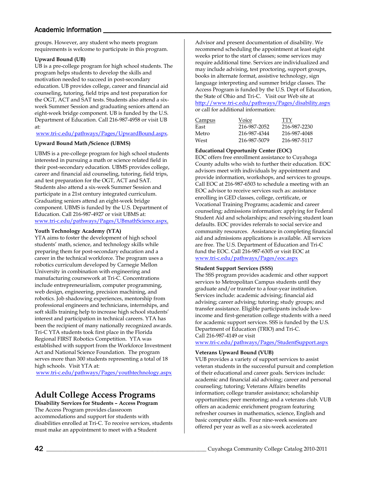#### Academic Information

groups. However, any student who meets program requirements is welcome to participate in this program.

#### <span id="page-41-0"></span>**Upward Bound (UB)**

UB is a pre-college program for high school students. The program helps students to develop the skills and motivation needed to succeed in post-secondary education. UB provides college, career and financial aid counseling, tutoring, field trips and test preparation for the OGT, ACT and SAT tests. Students also attend a sixweek Summer Session and graduating seniors attend an eight-week bridge component. UB is funded by the U.S. Department of Education. Call 216-987-4958 or visit UB at:

[www.tri-c.edu/pathways/Pages/UpwardBound.aspx.](http://www.tri-c.edu/pathways/Pages/UpwardBound.aspx)

#### <span id="page-41-1"></span>**Upward Bound Math /Science (UBMS)**

UBMS is a pre-college program for high school students interested in pursuing a math or science related field in their post-secondary education. UBMS provides college, career and financial aid counseling, tutoring, field trips, and test preparation for the OGT, ACT and SAT. Students also attend a six-week Summer Session and participate in a 21st century integrated curriculum. Graduating seniors attend an eight-week bridge component. UBMS is funded by the U.S. Department of Education. Call 216-987-4927 or visit UBMS at: [www.tri-c.edu/pathways/Pages/UBmathScience.aspx.](http://www.tri-c.edu/pathways/Pages/UBmathScience.aspx)

#### <span id="page-41-2"></span>**Youth Technology Academy (YTA)**

YTA aims to foster the development of high school students' math, science, and technology skills while preparing them for post-secondary education and a career in the technical workforce. The program uses a robotics curriculum developed by Carnegie Mellon University in combination with engineering and manufacturing coursework at Tri-C. Concentrations include entrepreneurialism, computer programming, web design, engineering, precision machining, and robotics. Job shadowing experiences, mentorship from professional engineers and technicians, internships, and soft skills training help to increase high school students' interest and participation in technical careers. YTA has been the recipient of many nationally recognized awards. Tri-C YTA students took first place in the Florida Regional FIRST Robotics Competition. YTA was established with support from the Workforce Investment Act and National Science Foundation. The program serves more than 300 students representing a total of 18 high schools. Visit YTA at:

<span id="page-41-3"></span>[www.tri-c.edu/pathways/Pages/youthtechnology.aspx](http://www.tri-c.edu/pathways/Pages/youthtechnology.aspx)

## **Adult College Access Programs**

<span id="page-41-4"></span>**Disability Services for Students – Access Program** The Access Program provides classroom accommodations and support for students with disabilities enrolled at Tri-C. To receive services, students must make an appointment to meet with a Student

Advisor and present documentation of disability. We recommend scheduling the appointment at least eight weeks prior to the start of classes; some services may require additional time. Services are individualized and may include advising, test proctoring, support groups, books in alternate format, assistive technology, sign language interpreting and summer bridge classes. The Access Program is funded by the U.S. Dept of Education, the State of Ohio and Tri-C. Visit our Web site at <http://www.tri-c.edu/pathways/Pages/disability.aspx> or call for additional information:

| <b>Campus</b> | Voice        | TTY          |
|---------------|--------------|--------------|
| East          | 216-987-2052 | 216-987-2230 |
| Metro         | 216-987-4344 | 216-987-4048 |
| West          | 216-987-5079 | 216-987-5117 |

#### <span id="page-41-5"></span>**Educational Opportunity Center (EOC)**

EOC offers free enrollment assistance to Cuyahoga County adults who wish to further their education. EOC advisors meet with individuals by appointment and provide information, workshops, and services to groups. Call EOC at 216-987-6503 to schedule a meeting with an EOC advisor to receive services such as: assistance enrolling in GED classes, college, certificate, or Vocational Training Programs; academic and career counseling; admissions information: applying for Federal Student Aid and scholarships; and resolving student loan defaults. EOC provides referrals to social service and community resources. Assistance in completing financial aid and admissions applications is available. All services are free. The U.S. Department of Education and Tri-C fund the EOC. Call 216-987-6305 or visit EOC at [www.tri-c.edu/pathways/Pages/eoc.aspx](http://www.tri-c.edu/pathways/Pages/eoc.aspx)

#### <span id="page-41-6"></span>**Student Support Services (SSS)**

The SSS program provides academic and other support services to Metropolitan Campus students until they graduate and/or transfer to a four-year institution. Services include: academic advising; financial aid advising; career advising; tutoring; study groups; and transfer assistance. Eligible participants include lowincome and first-generation college students with a need for academic support services. SSS is funded by the U.S. Department of Education (TRIO) and Tri-C. Call 216-987-4149 or visit

[www.tri-c.edu/pathways/Pages/StudentSupport.aspx](http://www.tri-c.edu/pathways/Pages/StudentSupport.aspx)

#### <span id="page-41-7"></span>**Veterans Upward Bound (VUB)**

VUB provides a variety of support services to assist veteran students in the successful pursuit and completion of their educational and career goals. Services include: academic and financial aid advising; career and personal counseling; tutoring; Veterans Affairs benefits information; college transfer assistance; scholarship opportunities; peer mentoring; and a veterans club. VUB offers an academic enrichment program featuring refresher courses in mathematics, science, English and basic computer skills. Four nine-week sessions are offered per year as well as a six-week accelerated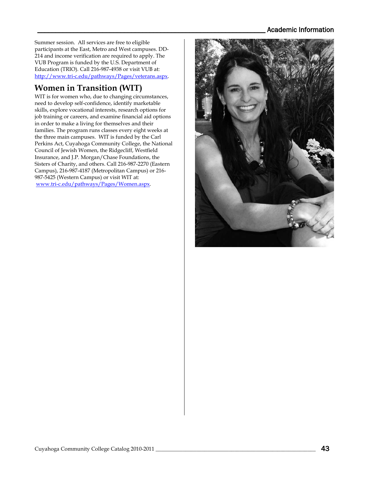#### Academic Information

Summer session. All services are free to eligible participants at the East, Metro and West campuses. DD-214 and income verification are required to apply. The VUB Program is funded by the U.S. Department of Education (TRIO). Call 216-987-4938 or visit VUB at: [http://www.tri-c.edu/pathways/Pages/veterans.aspx.](http://www.tri-c.edu/pathways/Pages/veterans.aspx)

## <span id="page-42-0"></span>**Women in Transition (WIT)**

WIT is for women who, due to changing circumstances, need to develop self-confidence, identify marketable skills, explore vocational interests, research options for job training or careers, and examine financial aid options in order to make a living for themselves and their families. The program runs classes every eight weeks at the three main campuses. WIT is funded by the Carl Perkins Act, Cuyahoga Community College, the National Council of Jewish Women, the Ridgecliff, Westfield Insurance, and J.P. Morgan/Chase Foundations, the Sisters of Charity, and others. Call 216-987-2270 (Eastern Campus), 216-987-4187 (Metropolitan Campus) or 216- 987-5425 (Western Campus) or visit WIT at: [www.tri-c.edu/pathways/Pages/Women.aspx.](http://www.tri-c.edu/pathways/Pages/Women.aspx)